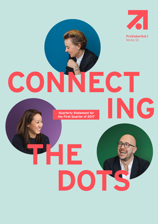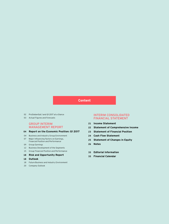# **Content**

- ProSiebenSat.1 and Q1 2017 at a Glance
- Actual Figures and Forecasts

### GROUP INTERIM MANAGEMENT REPORT

### **Report on the Economic Position: Q1 2017**

- Business and Industry Group Environment
- Major Influencing Factors on Earnings, Financial Position and Performance
- Group Earnings
- Business Development of the Segments
- Group Financial Position and Performance

#### **Risk and Opportunity Report**

- **Outlook**
- Future Business and Industry Environment
- Company Outlook

### INTERIM CONSOLIDATED FINANCIAL STATEMENT

- **Income Statement**
- **Statement of Comprehensive Income**
- **Statement of Financial Position**
- **Cash Flow Statement**
- **Statement of Changes in Equity**
- **Notes**
- **Editorial Information**
- **Financial Calendar**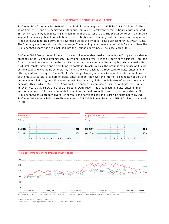# **PROSIEBENSAT.1 GROUP AT A GLANCE**

ProSiebenSat.1 Group started 2017 with double-digit revenue growth of 13% to EUR 910 million. At the same time, the Group also achieved another substantial rise in relevant earnings figures, with adjusted EBITDA increasing by 10% to EUR 188 million in the first quarter of 2017. The Digital Ventures & Commerce segment made a significant contribution to this profitable and dynamic growth. At the end of the quarter, ProSiebenSat.1 generated 50% of its revenues outside the TV advertising business (previous year: 43%). The Company employs 6,461 people in average. The most important revenue market is Germany. Here, the ProSiebenSat.1 share has been included into the German equity index DAX since March 2016.

ProSiebenSat.1 Group is one of the most successful independent media companies in Europe with a strong presence in the TV and digital market. Advertising-financed free TV is the Group's core business. Here, the Group is a leading player on the German TV market. At the same time, the Group is pushing ahead with its digital transformation and diversifying its portfolio. To achieve this, the Group is making use of its competitive edge and leveraging synergies by linking the wide reaching TV repertoire to digital entertainment offerings. Already today, ProSiebenSat.1 is Germany's leading video marketer on the Internet and one of the most successful providers of digital entertainment. However, the Internet is changing not only the entertainment industry, but other areas as well. For instance, digital media is also influencing consumer behavior. This is why ProSiebenSat.1 has built up a successful commerce business of digital platforms in recent years that is now the Group's largest growth driver. This broadcasting, digital entertainment and commerce portfolio is supplemented by an international production and distribution network. Thus, ProSiebenSat.1 has a broadly diversified revenue and earnings base and is growing sustainably. By 2018, ProSiebenSat.1 intends to increase its revenues by EUR 2.15 billion up to around EUR 4.5 billion, compared to 2012.





All information relates to continuing operations.

**1** From 01/01/2017 renaming in adjusted EBITDA and adjusted net income respectively.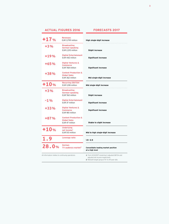# **ACTUAL FIGURES 2016**

# **FORECASTS 2017**

| $+17%$                                            | <b>Revenues</b><br>EUR 3,799 million                                      | High single-digit increase                                                                                                                |
|---------------------------------------------------|---------------------------------------------------------------------------|-------------------------------------------------------------------------------------------------------------------------------------------|
| $+3%$                                             | <b>Broadcasting</b><br>German-speaking<br>EUR 2,210 million               | <b>Slight increase</b>                                                                                                                    |
| $+19%$                                            | <b>Digital Entertainment</b><br>EUR 442 million                           | <b>Significant increase</b>                                                                                                               |
| $+65%$                                            | <b>Digital Ventures &amp;</b><br><b>Commerce</b><br>EUR 768 million       | <b>Significant increase</b>                                                                                                               |
| +38%                                              | <b>Content Production &amp;</b><br><b>Global Sales</b><br>EUR 362 million | Mid single-digit increase                                                                                                                 |
| $+10%$                                            | <b>Recurring EBITDA<sup>1</sup></b><br>EUR 1,018 million                  | Mid single-digit increase                                                                                                                 |
| $+3%$                                             | <b>Broadcasting</b><br>German-speaking<br>EUR 760 million                 | <b>Slight increase</b>                                                                                                                    |
| $-1%$                                             | <b>Digital Entertainment</b><br>EUR 37 million                            | <b>Significant increase</b>                                                                                                               |
| $+33%$                                            | <b>Digital Ventures &amp;</b><br><b>Commerce</b><br>EUR 180 million       | <b>Significant increase</b>                                                                                                               |
| +87%                                              | <b>Content Production &amp;</b><br><b>Global Sales</b><br>EUR 47 million  | <b>Stable to slight increase</b>                                                                                                          |
| $+10%$                                            | <b>Underlying</b><br>net income <sup>1</sup><br>EUR 513 million           | Mid to high single-digit increase                                                                                                         |
| 1.9                                               | Leverage ratio                                                            | $1.5 - 2.5$                                                                                                                               |
| 28.0%                                             | <b>German</b><br>TV audience market <sup>2</sup>                          | Consolidate leading market position<br>at a high level                                                                                    |
| All information relates to continuing operations. |                                                                           | 1 From 01/01/2017 renaming in adjusted EBITDA and<br>adjusted net income respectively.<br>2 Relevant target group of 14- to 49-year-olds. |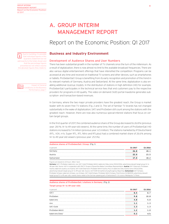# A. GROUP INTERIM MANAGEMENT REPORT

# Report on the Economic Position: Q1 2017



Due to rounding, it is possible that individual figures in this Quarterly Statement do not add exactly to the totals shown and that the percentage figures presented do not reflect exactly the absolute figures they relate to.



# **Business and Industry Environment**

### Development of Audience Shares and User Numbers

There has been substantial growth in the number of TV channels since the turn of the millennium. As a result of digitalization, there is now almost no limit to the available broadcast frequencies. There are also various digital entertainment offerings that have intensified the competition: Programs can be accessed at any time and received on traditional TV screens and other devices, such as smartphones or tablets. ProSiebenSat.1 Group is benefiting from its early recognition and promotion of this trend in its relevant markets of Germany, Austria and Switzerland. At the same time, digitalization is also enabling additional revenue models. In the distribution of stations in high definition (HD) for example, ProSiebenSat.1 participates in the technical service fees that end customers pay to the respective providers for programs in HD quality. The video-on-demand (VoD) portal maxdome generates subscription- and transaction-based revenues.

In Germany, where the two major private providers have the greatest reach, the Group is market leader with its seven free TV stations (Fig. 2 and 3). The set of familiar TV brands has not changed substantially in the wake of digitalization; SAT.1 and ProSieben still count among the stations with the greatest reach. However, there are now also numerous special-interest stations that focus on certain target groups.

In the first quarter of 2017, the combined audience share of the Group decreased to 26.8% (previous year: 28.1%; 14- to 49-year-old viewers). At the same time, the number of users of ProSiebenSat.1 HD stations increased to 7.4 million (previous year: 6.5 million). The stations marketed by IP Deutschland (RTL, VOX, n-tv, Super RTL, RTL Nitro and RTLplus) had a combined market share of 26.6% among 14- to 49-year-old viewers (previous year: 25.5%).

| Audience shares of ProSiebenSat.1 Group (Fig. 1) |         |          |  |  |
|--------------------------------------------------|---------|----------|--|--|
| in percent                                       | Q1 2017 | Q1 2016  |  |  |
| Germany                                          | 26.8    | 28.1     |  |  |
| Austria                                          | 22.0    | <br>23.5 |  |  |
| Switzerland                                      | 17.0    | <br>182  |  |  |

Figures are based on 24 hours (Mon–Sun).

Germany: SAT.1, ProSieben, kabel eins, sixx, SAT.1 Gold, ProSieben MAXX, kabel eins Doku (since 09/22/2016); advertising-relevant target group 14- to 49-year-olds. Source: AGF in cooperation with GfK/TV Scope 6.1/SevenOne Media Committees Representation. Austria: SAT.1 Österreich, ProSieben Austria, kabel eins austria, sixx Austria, SAT.1 Gold Österreich, ProSieben MAXX Austria, PULS 4, kabel eins Doku Austria (since 09/22/2016); advertising-relevant target group 12- to 49-year-olds. Source: AGTT/GfK Fernsehforschung/Evogenius Reporting. Switzerland: SAT.1 Schweiz ProSieben Schweiz, kabel eins Schweiz, sixx Schweiz, SAT.1 Gold Schweiz, ProSieben MAXX Schweiz, Puls 8 (since 10/08/2015); advertising-relevant target group 15- to 49-year-olds; market shares relate to the German-speaking part of Switzerland D–CH; source: Mediapulse TV Panel.

### **Audience shares of ProSiebenSat.1 stations in Germany** (Fig. 2) **Target group 14- to 49-year-olds**

| in percent       | Q1 2017 | 01 2016                                   |
|------------------|---------|-------------------------------------------|
| SAT.1            | 8.5     |                                           |
| ProSieben        | 9.8     | <br>10.8                                  |
| kabel eins       | 4.8     | **********************************<br>5.0 |
| sixx             |         |                                           |
| SAT.1 Gold       |         |                                           |
| ProSieben MAXX   |         | **********************                    |
| kabel eins Doku! | 0.2     | n/a                                       |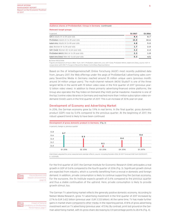#### **Audience shares of ProSiebenSat.1 Group in Germany** (continued)

| <b>Relevant target groups</b>             |         |                               |
|-------------------------------------------|---------|-------------------------------|
| in percent                                | 01 2017 | O1 2016                       |
| SAT.1: Adults 14- to 59-year-olds         | 8.4     |                               |
| ProSieben: Adults 14- to 39-year-olds     | 13.0    |                               |
| kabel eins: Adults 14- to 49-year-olds    | 4.8     | ***********************       |
| sixx: Women 14- to 39-year-olds           |         |                               |
| SAT.1 Gold: Women 40- to 64-year-olds     |         | ***************************** |
| ProSieben MAXX: Men 14- to 39-year-olds   |         |                               |
| kabel eins Doku': Men 40- to 64-year-olds |         |                               |

**1** Since 09/22/2016.

Figures are based on 24 hours (Mon–Sun). SAT.1, ProSieben, kabel eins, sixx, SAT.1 Gold, ProSieben MAXX, kabel eins Doku; source: AGF in cooperation with GfK/TV Scope 6.1/SevenOne Media Committees Representation.

Based on the of Arbeitsgemeinschaft Online Forschung (AGOF) most recently published data from January 2017, the Web offerings under the aegis of ProSiebenSat.1 advertising sales company SevenOne Media in Germany reached around 35 million unique users (previous month: around 34 million unique users). The multi-channel network (MCN) Studio71 is one of the three largest MCNs in the world with 19 billion video views in the first quarter of 2017 (previous year: 12 billion video views). In addition to these primarily advertising-financed online platforms, the Group also operates the Pay-Video-on-Demand (Pay-VoD) portal maxdome. maxdome is one of the top 3 online video libraries in Germany and reached more than 1 million subscription video-ondemand (SVoD) users in the first quarter of 2017. This is an increase of 30% year-on-year.

#### Development of Economy and Advertising Market

In 2016, the German economy grew by 1.9% in real terms. In the final quarter, gross domestic product (GDP) rose by 0.4 % compared to the previous quarter. At the beginning of 2017, the robust upward trend is likely to have been continued.



Interlinked, adjusted for price, seasonal and calendar effects; source: including Destatis 2016, Q1 2017 Forecast DIW from 03/29/2017; e = estimate.

For the first quarter of 2017, the German Institute for Economic Research (DIW) anticipates a real growth in GDP of 0.6% compared to the fourth quarter of 2016 (Fig. 3). Significant growth stimuli are expected from industry, which is currently benefiting from a revival in domestic and foreign demand. In addition, private consumption is likely to continue supporting the German economy. For the eurozone, the ifo Institute expects growth of 0.4 % compared to the previous quarter and thus a stable continuation of the uptrend. Here, private consumption is likely to provide growth stimuli, too.

The German TV advertising market reflects the generally positive domestic economy. According to Nielsen Media Research, gross TV advertising investment in the first quarter of 2017 increased by 2.7% to EUR 3.422 billion (previous year: EUR 3.333 billion). At the same time, TV has made further gains in market share compared to other media. In the reporting period, 47.8% of gross advertising investment went on TV advertising (previous year: 47.5%). By contrast, print lost ground on the German advertising market, with its gross share decreasing by 0.9 percentage points to 28.4% (Fig. 4).



Future Business and Industry Environment, page 18.



Impact of General onditions on the Business Performance, page 7.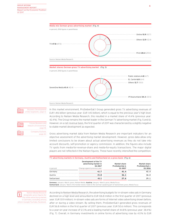







In this market environment, ProSiebenSat.1 Group generated gross TV advertising revenues of EUR 1.416 billion (previous year: EUR 1.413 billion), which is equal to the previous year's high level. According to Nielsen Media Research, this resulted in a market share of 41.4% (previous year: 42.4%). The Group remains the market leader in the German TV advertising market (Fig. 5 and 6). However, on a net revenue basis, the first quarter of 2017 was characterized by a slightly negative to stable market development as espected.

Gross advertising market data from Nielsen Media Research are important indicators for an objective assessment of the advertising market development. However, gross data allow only limited conclusions to be drawn about actual advertising revenues as they do not take into account discounts, self-promotion or agency commission. In addition, the figures also include TV spots from media-for-revenue-share and media-for-equity transactions. The major digital players are not reflected in the Nielsen figures. These have recently intensified the competition.

| TV advertising markets in Germany, Austria and Switzerland on a gross basis (Fig. 6) |                                                                                           |                                           |                                           |  |  |
|--------------------------------------------------------------------------------------|-------------------------------------------------------------------------------------------|-------------------------------------------|-------------------------------------------|--|--|
| in percent                                                                           | Development of the TV<br>advertising market in<br>01 2017<br>Change against previous year | Market share<br>ProSiebenSat.1<br>Q1 2017 | Market share<br>ProSiebenSat.1<br>Q1 2016 |  |  |
| Germany                                                                              | 12.7                                                                                      | 41.4                                      | 42 A                                      |  |  |
| Austria                                                                              | $+5.8$                                                                                    | 36.1                                      | 36.0                                      |  |  |
| Switzerland                                                                          | $-8.1$                                                                                    | 27.6                                      | 29.1                                      |  |  |

Germany: January –March, gross, Nielsen Media. Austria: January –March, gross, Media Focus.

Switzerland: January - March, the market shares relate to the German-speaking part of Switzerland, gross, Media Focus



According to Nielsen Media Research, the advertising budgets for in-stream video ads in Germany declined on a high level and amounted to EUR 126.8 million in the first quarter of 2017 (previous year: EUR 131.9 million). In-stream video ads are forms of Internet video advertising shown before, after or during a video stream. By selling them, ProSiebenSat.1 generated gross revenues of EUR 56.8 million in the first quarter of 2017 (previous year: EUR 50.6 million). This corresponds to a year-on-year increase of 12.3% and a leading market share of 44.8% (previous year: 38.4%) (Fig. 7). Overall, in Germany investments in online forms of advertising rose by 4.0 % to EUR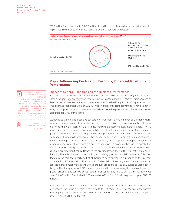777.2 million (previous year: EUR 747.7 million). In addition to in-stream videos, the online advertising market also includes display ads such as traditional banners and buttons.



# **Major Influencing Factors on Earnings, Financial Position and Performance**

Impact of General Conditions on the Business Performance

ProSiebenSat.1's growth is influenced by various factors and external underlying data. A key indicator is the domestic economy and especially private consumption in Germany. This is because its development closely correlates with investments in TV advertising. In the first quarter of 2017, ProSiebenSat.1 generated 50% or EUR 454 million of its consolidated revenues from video advertising on TV (previous year: 57% or EUR 454 million). As in the previous year, the German market accounted for 89% of this figure.

Economic data indicates a positive backdrop for our main revenue market of Germany. Moreover, television is driving structural change in the market. With the growing number of digital platforms, the wide reach of TV as a mass medium is becoming even more valuable. The TV advertising market is therefore growing solidly overall and is supporting our profitable revenue growth. At the same time, the Group is diversifying its business with the aim of growing dynamically and reducing its dependence on the economically sensitive TV advertising market, particularly in the digital business. In the free TV segment, the Group has developed an additional business model in which revenues are not dependent on the economy through the distribution of stations in HD quality. In parallel to this, the market for digital entertainment offerings such as VoD is growing significantly. However, the growing importance of the Internet is not only influencing the entertainment industry, but also driving growth in digital commerce. This is reflected in the fact that nearly half of all Germans have purchased a product on the Internet stimulated by TV advertising. This is why ProSiebenSat.1 is investing in commerce portals that address a broad mass market and whose product areas are particularly suited to video advertising. In the first quarter of 2017, the commerce portfolio was once again the most important growth driver. In this context, consolidated revenues rose by 13 % to EUR 910 million (previous year: EUR 802 million). Adjusted EBITDA grew by 10 % to EUR 188 million (previous year: EUR 170 million).

ProSiebenSat.1 has made a good start to 2017. Here, aquisitions in recent quarters have accelerated growth. The Group is on track with regard to its 2018 targets (Fig. 8): At the end of the quarter, the Company had already achieved 72% of its medium-term revenue target and 73% of anticipated growth in adjusted EBITDA for 2018.



Comparison of the Actual and Expected Business Performance:

ProSiebenSat.1 Group published its targets in its Annual Report 2016 in March 2017; the Company does not provide any intra-year forecasts unless significant deviations arise for individual quarters. Therefore, actual figures are not compared in detail to expected figures for the first quarter of 2017 here.

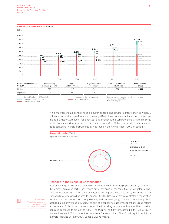EUR m

| 5,000                                                                                           |                                 |            |                                                                                                                                                                                                                                                                                                                                                                                                                                                                     |       |                                |                                                                                                 |                         |
|-------------------------------------------------------------------------------------------------|---------------------------------|------------|---------------------------------------------------------------------------------------------------------------------------------------------------------------------------------------------------------------------------------------------------------------------------------------------------------------------------------------------------------------------------------------------------------------------------------------------------------------------|-------|--------------------------------|-------------------------------------------------------------------------------------------------|-------------------------|
| 4,500                                                                                           |                                 |            |                                                                                                                                                                                                                                                                                                                                                                                                                                                                     |       |                                |                                                                                                 | 4,506                   |
| 4,000                                                                                           |                                 |            |                                                                                                                                                                                                                                                                                                                                                                                                                                                                     |       |                                |                                                                                                 | 470                     |
|                                                                                                 |                                 |            |                                                                                                                                                                                                                                                                                                                                                                                                                                                                     |       |                                | 3,799                                                                                           | 1,172                   |
| 3,500                                                                                           |                                 |            |                                                                                                                                                                                                                                                                                                                                                                                                                                                                     |       | 3,261                          | 362                                                                                             |                         |
| 3,000                                                                                           |                                 |            | 2.876                                                                                                                                                                                                                                                                                                                                                                                                                                                               |       | 262                            | 768                                                                                             |                         |
|                                                                                                 |                                 | 2,605      |                                                                                                                                                                                                                                                                                                                                                                                                                                                                     | 202   | 465                            |                                                                                                 | 563                     |
| 2,500                                                                                           | 2,356<br>95                     | 124<br>484 |                                                                                                                                                                                                                                                                                                                                                                                                                                                                     | 611   | 371                            | 442                                                                                             |                         |
| 2,000                                                                                           | 335                             |            |                                                                                                                                                                                                                                                                                                                                                                                                                                                                     | 2,063 | 2,152                          | 2,210                                                                                           | 2,301                   |
| 1,500                                                                                           | 1,926                           | 1,998      |                                                                                                                                                                                                                                                                                                                                                                                                                                                                     |       |                                |                                                                                                 |                         |
| 1,000                                                                                           |                                 |            |                                                                                                                                                                                                                                                                                                                                                                                                                                                                     |       |                                |                                                                                                 |                         |
| 500                                                                                             |                                 |            |                                                                                                                                                                                                                                                                                                                                                                                                                                                                     |       |                                |                                                                                                 |                         |
| $\mathbf 0$                                                                                     |                                 |            |                                                                                                                                                                                                                                                                                                                                                                                                                                                                     |       |                                |                                                                                                 |                         |
|                                                                                                 | 2012                            | 2013       | 2014                                                                                                                                                                                                                                                                                                                                                                                                                                                                |       | 2015                           | 2016                                                                                            | 20181                   |
| Degree of achievement<br>01 2017                                                                | Broadcasting<br>German-speaking |            | Digital<br>Entertainment                                                                                                                                                                                                                                                                                                                                                                                                                                            |       | Digital Ventures &<br>Commerce | Content Production &<br>Global Sales                                                            | ProSiebenSat.1<br>Group |
| EUR m                                                                                           | 293                             |            | 217                                                                                                                                                                                                                                                                                                                                                                                                                                                                 |       | 740                            | 282                                                                                             | 1,551                   |
| in percent                                                                                      | 78                              |            | 65                                                                                                                                                                                                                                                                                                                                                                                                                                                                  |       | 70                             | 75                                                                                              | 72                      |
| = Content Production & Global Sales<br>= Digital Ventures & Commerce<br>= Digital Entertainment |                                 |            | - Broadcasting German-speaking<br>$\frac{1}{\sqrt{1-\frac{1}{\sqrt{1-\frac{1}{\sqrt{1-\frac{1}{\sqrt{1-\frac{1}{\sqrt{1-\frac{1}{\sqrt{1-\frac{1}{\sqrt{1-\frac{1}{\sqrt{1-\frac{1}{\sqrt{1-\frac{1}{\sqrt{1-\frac{1}{\sqrt{1-\frac{1}{\sqrt{1-\frac{1}{\sqrt{1-\frac{1}{\sqrt{1-\frac{1}{\sqrt{1-\frac{1}{\sqrt{1-\frac{1}{\sqrt{1-\frac{1}{\sqrt{1-\frac{1}{\sqrt{1-\frac{1}{\sqrt{1-\frac{1}{\sqrt{1-\frac{1}{\sqrt{1-\frac{1}{\sqrt{1-\frac{1}{\sqrt{1-\frac{1$ |       |                                | External segment revenues and Group revenues<br>from continuing activities.<br>1 Growth targets |                         |

While macroeconomic conditions and industry-specific and structural effects may significantly influence our business performance, currency effects have no material impact on the Group's financial situation. Although ProSiebenSat.1 is international, the Company generates the majority of its revenues in Germany and thus in the eurozone (Fig. 9). Further details, in particular on using derivative financial instruments, can be found in the Annual Report 2016 on page 159.



### Changes in the Scope of Consolidation

ProSiebenSat.1 practices active portfolio management aimed at leveraging synergies by connecting the business areas and particularly TV and digital offerings. At the same time, we are internationalizing our business with partnerships and acquisitions. Against this background, the Group further expanded its online video business. In January 2017, the Group entered into a strategic cooperation for the MCN Studio71 with TF1 Group (France) and Mediaset (Italy). The two media groups both acquired a minority stake in Studio71 as part of a capital increase. ProSiebenSat.1 Group retains approximately 70% of the company shares; due to existing put options, however, the consolidation ratio continues to amount to 100%. The MCN will be fully consolidated in the Digital Entertainment segment. With its new investors from France and Italy, Studio71 will tap into additional markets following Germany, USA, Canada, UK and Austria.



Notes, Note 3 "Acquisitions and other transactions with subsidiaries", page 27.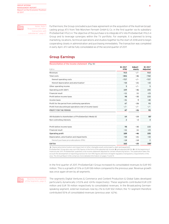

"Acquisitions and other transactions with subsidiaries", page 27.

Notes, Note 3

Furthermore, the Group concluded a purchase agreement on the acquisition of the Austrian broadcasting group ATV from Tele München Fernseh GmbH & Co. in the first quarter via its subsidiary ProSiebenSat.1 PULS 4. The objective of the purchase is to integrate ATV into ProSiebenSat.1 PULS 4 Group and to leverage synergies within the TV portfolio. For example, it is planned to bring marketing, locations, technical operations and studios together by the start of 2018 and to begin cooperating closely in administration and purchasing immediately. The transaction was completed in early April. ATV will be fully consolidated as of the second quarter of 2017.

# **Group Earnings**

| EUR <sub>m</sub>                                          | 01 2017<br><b>IFRS</b> | Adjust-<br>ments | 01 2017<br>Adjusted |
|-----------------------------------------------------------|------------------------|------------------|---------------------|
| Revenues                                                  | 910                    | $-/-$            | 910                 |
| Total costs                                               | $-806$                 | -46              | $-760$              |
| thereof operating costs                                   | $-727$                 | -/-              | $-727$              |
| thereof depreciation and amortization <sup>1</sup>        | $-54$                  | $-21$            | $-33$               |
| Other operating income                                    | 5                      | - / -            | 5<br>.              |
| Operating profit (EBIT)                                   | 109                    | -46              | 155                 |
| <b>Financial result</b>                                   | $-11$                  | 11               | $-23$               |
| Profit before income taxes                                | 98                     | -35              | 133                 |
| Income taxes                                              | $-31$                  | 9                | -40                 |
| Profit for the period from continuing operations          | 67                     | $-26$            | 93                  |
| Profit from discontinued operations (net of income taxes) | - / -                  | -/-              | -/-                 |
| PROFIT FOR THE PERIOD                                     | 67                     | -26              | 93                  |
| Attributable to shareholders of ProSiebenSat.1 Media SE   | 64                     | $-24$            | 882                 |
| Non-controlling interests                                 | 2                      | $-2$             | 4                   |
| Profit before income taxes                                | 98                     | $-35$            | 133                 |
| <b>Financial result</b>                                   | $-11$                  | 11               | $-23$               |
| Operating profit                                          | 109                    | $-46$            | 155                 |
| Depreciation, amortization and impairments                | $-54$                  | $-21$            | -33                 |
| thereof purchase price allocations (PPA)                  | $-14$                  | $-14$            | $\Omega$            |
| <b>EBITDA</b>                                             | 163                    | $-25$            | 1883                |

(**1**) Depreciation/amortization and impairment of other intangible assets and property, plant and equipment.

ProSiebenSat.1 Group also uses non-IFRS figures in the form of the adjusted net income (**2**) and adjusted EBITDA (**3**). At the beginning of financial year 2017, ProSiebenSat.1 publishes a full income statement adjusted for certain influencing factors. This publication takes into account the development of reporting practices for non-IFRS figures and more stringent regulatory transparency requirements in this area. The Annual Report 2016 comprises more detailed information on pages 73 and 74.

In the first quarter of 2017, ProSiebenSat.1 Group increased its consolidated revenues to EUR 910 million. This is a growth of 13% or EUR 108 million compared to the previous year. Revenue growth was once again driven by all segments.



The segments Digital Ventures & Commerce and Content Production & Global Sales developed particularly dynamically (+53 % and +24 % respectively). These segments contributed EUR 229 million and EUR 78 million respectively to consolidated revenues. In the Broadcasting Germanspeaking segment, external revenues rose by 2% to EUR 502 million; the TV segment therefore contributed 55% of consolidated revenues (previous year: 62%).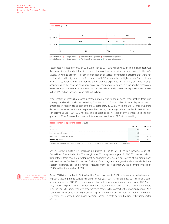

Total costs increased by 18% or EUR 122 million to EUR 806 million (Fig. 11). The main reason was the expansion of the digital business, while the cost level was primarily determined by the MCN Studio71, owing to growth. First-time consolidation of various commerce platforms that were not yet included in the figures for the first quarter of 2016 also resulted in higher costs. This includes, for example, Parship. In recent months, the Group has expanded its Company portfolio through acquisitions. In this context, consumption of programming assets, which is included in total costs, also increased by 11% or EUR 25 million to EUR 262 million, while personnel expenses grew by 13% to EUR 168 million (previous year: EUR 149 million).

Amortization of intangible assets increased, mainly due to acquisitions. Amortization from purchase price allocations also increased by EUR 4 million to EUR 14 million. In total, depreciation and amortization recognized as part of the total costs grew by EUR 15 million to EUR 54 million. Before depreciation, amortization and expense adjustments, operating costs amounted to EUR 727 million (previous year: EUR 636 million). This equates to an increase of 14% compared to the first quarter of 2016. The cost item relevant for calculating adjusted EBITDA is operating costs.

| Reconciliation of operating costs (Fig. 12)                                                              |         |         |  |
|----------------------------------------------------------------------------------------------------------|---------|---------|--|
| EUR <sub>m</sub>                                                                                         | 01 2017 | 01 2016 |  |
| Total costs                                                                                              | 806     |         |  |
| Expense adjustments                                                                                      | -25     |         |  |
| Depreciation and amortization <sup>1</sup>                                                               |         |         |  |
| Operating costs                                                                                          | 727     |         |  |
| 1 Depreciation/amortization and impairment of other intangible assets and property, plant and equipment. |         |         |  |

Revenue growth led to a 10% increase in adjusted EBITDA to EUR 188 million (previous year: EUR 170 million). The adjusted EBITDA margin was 20.6% (previous year: 21.2%). This reflects structural effects from revenue development by segment: Revenues in core areas of our digital portfolio and in the Content Production & Global Sales segment are growing dynamically, but are subject to different cost and revenue structures from the TV segment, with an earnings margin of 25.4% in the first quarter of 2017.



Business Development of the Segments, page 12.

Group EBITDA amounted to EUR 163 million (previous year: EUR 162 million) and included reconciling items totaling minus EUR 25 million (previous year: EUR –9 million) (Fig. 13). This largely comprises expenses of EUR 16 million in connection with reorganizations (previous year: EUR 0 million). These are primarily attributable to the Broadcasting German-speaking segment and relate in particular to the impairment of programming assets in the context of the reorganization of ATV. EUR 4 million resulted from M&A projects (previous year: EUR 3 million). In addition, valuation effects for cash-settled share-based payment increased costs by EUR 4 million in the first quarter of 2017.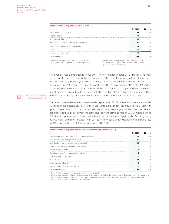| Reconciliation of adjusted EBITDA (Fig. 13)                                                                 |                                                                                                                                                              |         |
|-------------------------------------------------------------------------------------------------------------|--------------------------------------------------------------------------------------------------------------------------------------------------------------|---------|
| FUR <sub>m</sub>                                                                                            | 01 2017                                                                                                                                                      | 01 2016 |
| Profit before income taxes                                                                                  | 98                                                                                                                                                           | 99      |
| Financial result                                                                                            |                                                                                                                                                              | -24     |
| Operating profit (EBIT)                                                                                     | 109                                                                                                                                                          | 122     |
| Depreciation, amortization and impairments <sup>1</sup>                                                     | 54                                                                                                                                                           | 39      |
| thereof from purchase price allocations                                                                     | 14                                                                                                                                                           |         |
| <b>FBITDA</b>                                                                                               | 163                                                                                                                                                          | 162     |
| Reconciling items (net) <sup>2</sup>                                                                        | 25                                                                                                                                                           | o       |
| Adjusted EBITDA                                                                                             | 188                                                                                                                                                          | 170     |
| 1 Depreciation/amortization and impairment of other<br>intangible assets and property, plant and equipment. | <b>2</b> Expense adjustments of EUR 25 million (previous year:<br>EUR 9 million) less income adjustments of EUR 0 million<br>(previous year: EUR 0 million). |         |

The financial result amounted to minus EUR 11 million (previous year: EUR –24 million). The main reason for this improvement is the development of the other financial result, which amounted to EUR 13 million (previous year: EUR –2 million). This is attributable to valuation effects in the Digital Ventures & Commerce segment, in particular. There was a positive effect of EUR 9 million in this regard (previous year: EUR 0 million). At the same time, the Group reported net valuation adjustments of earn-out and put option liabilities totaling EUR 7 million (previous year: EUR 2 million). This primarily reflected the remeasurement of put options for the MCN Studio71.

The developments described above resulted in a pre-tax profit of EUR 98 million, compared to EUR 99 million in the previous year (–1% year-on-year). Income tax expenses amounted to EUR 31 million (previous year: EUR 31 million); the tax rate was 32.0% (previous year: 31.5%). The consolidated net profit was thus also at almost the same level as in the previous year, at EUR 67 million (–2% or EUR -1 million year-on-year). In contrast, adjusted net income grew significantly (Fig. 14), growing by 10% to EUR 88 million (previous year: EUR 80 million). Basic underlying earnings per share rose by 3% accordingly, to EUR 0.39 (previous year: EUR 0.37).

| Reconciliation of adjusted net income from continuing operations (Fig. 14) |         |         |
|----------------------------------------------------------------------------|---------|---------|
| FUR <sub>m</sub>                                                           | Q1 2017 | 01 2016 |
| Consolidated net profit (after non-controlling interests)                  | 64      | 66      |
| Reconciling items (recognized in EBITDA)                                   | 25      |         |
| Amortization from purchase price allocations <sup>1</sup>                  | 15      | 10      |
| Impairments on other financial investments                                 |         |         |
| Put options/earn-outs                                                      | - 7     |         |
| Valuation effects from financial derivatives                               | - 1     |         |
| Reassessment of tax risks                                                  |         |         |
| Other effects <sup>2</sup>                                                 |         |         |
| Taxes on reconciling items                                                 | – Q     |         |
| Minority shares in reconciling items                                       | -2      |         |
| Adjusted net income                                                        | 88      | 80      |

**1** Incl. effects on associates consolidated using the equity method.

**2** Other effects comprises valuation effects relating to strategic investments in the Digital Ventures & Commerce segment amounting

to EUR 9 million (previous year: EUR 0 million) and impairments on leasehold improvements and other intangible assets in the amount of minus EUR 7 million (previous year: EUR 0 million).

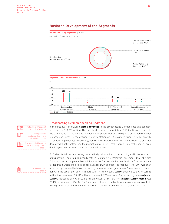

# **Business Development of the Segments**

Broadcasting German-speaking Segment





In the first quarter of 2017, external revenues in the Broadcasting German-speaking segment increased to EUR 502 million. This equates to an increase of 2 % or EUR 9 million compared to the previous year. This positive revenue development was due to higher distribution revenues in particular. Primarily, the distribution of TV stations in HD quality contributed to this growth. TV advertising revenues in Germany, Austria and Switzerland were stable as expected and thus developed slightly better than the market. As well as external revenues, internal revenues grew due to synergies between the TV and digital business.

ProSiebenSat.1 Group is investing systematically in its stations' programming and in the expansion of its portfolio. The Group launched another TV station in Germany in September 2016; kabel eins Doku provides a complementary addition to the German station family with a focus on a male target group. Operating costs also rose as a result. In addition, the first quarter of 2017 was characterized by comparatively high reconciling items due to reorganizations. These arose in connection with the acquisition of ATV in particular. In this context, **EBITDA** declined by 8% to EUR 116 million (previous year: EUR 127 million). However, EBITDA adjusted for reconciling items (adjusted EBITDA) increased by 4% or EUR 6 million to EUR 137 million. The adjusted EBITDA margin was 25.4% (previous year: 25.6%). The TV segment thus reported a stable margin, which also reflects the high level of profitability of the TV business, despite investments in the station portfolio.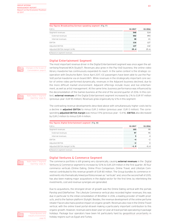| Key figures Broadcasting German-speaking segment (Fig. 17) |         |         |  |
|------------------------------------------------------------|---------|---------|--|
| FUR <sub>m</sub>                                           | 01 2017 | Q1 2016 |  |
| Segment revenues                                           |         | 14<br>  |  |
| External revenues                                          |         |         |  |
| Internal revenues                                          |         |         |  |
| FRITDA                                                     |         |         |  |
| Adjusted EBITDA                                            |         |         |  |
| Adjusted EBITDA margin <sup>1</sup> (in %)                 | 25.4    | 25 F    |  |
| 1 Based on segment revenues.                               |         |         |  |

The most important revenue driver in the Digital Entertainment segment was once again the ad-

### Digital Entertainment Segment

vertising-financed MCN Studio71. Revenues also grew in the Pay-VoD business; the online video library maxdome has continuously expanded its reach. In the same context is the strategic co-Changes in the Scope of Consolidation, page 8.

operation with Deutsche Bahn: Since April 2017, ICE passengers have been able to use the Pay-VoD portal maxdome via on-board WiFi. While revenues in the strategically important core sector of online video performed dynamically, revenues in the Adjacent business declined, due to the more difficult market environment. Adjacent offerings include music and live entertainment, as well as artist management. At the same time, business performance was influenced by the deconsolidation of the Games business at the end of the second quarter of 2016. In this context, external revenues of the Digital Entertainment segment increased by 2% to EUR 97 million (previous year: EUR 95 million). Revenues grew organically by 12% in this segment.

The contrasting revenue developments described above with simultaneously higher costs led to a decline in adjusted EBITDA to minus EUR 2 million (previous year: EUR 0 million). The corresponding **adjusted EBITDA margin** was minus 1.9% (previous year: -0.4%). **EBITDA** also decreased by EUR 2 million to minus EUR 4 million.

| Key figures Digital Entertainment segment (Fig. 18) |         |  |  |  |
|-----------------------------------------------------|---------|--|--|--|
| EUR m                                               | 01 2017 |  |  |  |
| Segment revenues                                    |         |  |  |  |
| External revenues                                   |         |  |  |  |
| Internal revenues                                   |         |  |  |  |
| FRITDA                                              |         |  |  |  |
| Adjusted EBITDA                                     |         |  |  |  |
| Adjusted EBITDA margin <sup>1</sup> (in %)          |         |  |  |  |
| 1 Based on segment revenues.                        |         |  |  |  |

### Digital Ventures & Commerce Segment

The commerce portfolio is still growing very dynamically, causing external revenues in the Digital Ventures & Commerce segment to increase by 53% to EUR 229 million in the first quarter. All four commerce verticals (Online Dating, Online Price Comparison, Online Travel, and Lifestyle Commerce) contributed to this revenue growth of EUR 80 million. The Group bundles its commerce investments into thematically linked portfolios known as "verticals" and, since the second half of 2015, has also been making major acquisitions in the digital sector for the first time; by interlinking the investments, cost and revenue synergies are generated.

Due to acquisitions, the strongest driver of growth was the Online Dating vertical with the portals Parship and ElitePartner. The Lifestyle Commerce vertical also recorded higher revenues; this was due in particular to the initial consolidation of WindStar in 2016, a leading provider of health products, and to the fashion platform Stylight. Besides, the revenue development of the online perfume retailer Flaconi also had a positive impact on organic growth. Revenues also rose in the Online Travel vertical, with the online travel portal etraveli making a particularly important contribution to this organic growth. However, revenues were down year-on-year at travel portals specializing in package holidays. Package tour operators have been hit particularly hard by geopolitical uncertainty in holiday regions such as Egypt and Turkey.

Notes, Note 2 "Segment reporting," page 26.

```
Notes, Note 2 "Segment 
非
             reporting," page 26.
```


Future Business and Industry Environment, page 18.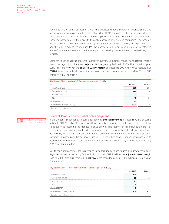Notes, Note 2 "Segment reporting," page 26. Revenues in the Ventures business with the business models media-for-revenue-share and media-for-equity remained stable in the first quarter of 2017, compared to the strong figures for the same period of the previous year. Here, the Group invests free advertising time in start-ups and in exchange participates in their growth through a share in revenues or companies. The Group is focusing on companies that are particularly benefiting from start-up funding through advertising and the wide reach of the medium TV. The Company is also pursuing its aim of transferring media-for-revenue-share and media-for-equity partnerships to traditional TV advertising customers.

Costs have risen as a result of growth; moreover, the various business models have different margin structures. Against this backdrop, adjusted EBITDA grew by 26% to EUR 47 million (previous year: EUR 37 million), however, the adjusted EBITDA margin decreased to 20.3% (previous year: 23.8%). EBITDA likewise grew by double digits, due to revenue momentum, and increased by 28% or EUR 10 million to EUR 45 million.

| Key figures Digital Ventures & Commerce segment (Fig. 19) |         |        |  |  |  |  |  |  |
|-----------------------------------------------------------|---------|--------|--|--|--|--|--|--|
| FUR <sub>m</sub>                                          | 01 2017 | 2016   |  |  |  |  |  |  |
| Segment revenues                                          |         | 55<br> |  |  |  |  |  |  |
| External revenues                                         |         |        |  |  |  |  |  |  |
| Internal revenues                                         |         |        |  |  |  |  |  |  |
| FRITDA                                                    |         | ላ ካ    |  |  |  |  |  |  |
| Adjusted EBITDA                                           |         |        |  |  |  |  |  |  |
| Adjusted EBITDA margin <sup>1</sup> (in %)                |         | 23.R   |  |  |  |  |  |  |
| 1 Based on segment revenues.                              |         |        |  |  |  |  |  |  |

### Content Production & Global Sales Segment

In the Content Production & Global Sales segment, external revenues increased by 24% or EUR 15 million to EUR 78 million. Revenue growth was largely organic in the first quarter, with the global sales business recording the highest revenue growth. The reason for this included the start of licenses for new productions. In addition, production business in the US and Israel developed dynamically. On the one hand, this was due to revenue growth at various Red Arrow production subsidiaries, particularly Karga Seven Pictures. On the other hand, revenues increased due to acquisitions, with the initial consolidation of the US production company 44 Blue Studios in July 2016 contributing to this.

Due to the significant increase in revenues, key operating earnings figures also grew dynamically. Adjusted EBITDA increased by 88% or EUR 4 million to EUR 9 million; the adjusted EBITDA margin rose to 9.0% (previous year: 6.3%). EBITDA more than doubled to EUR 9 million (previous year: EUR 4 million).

| Key figures Content Production & Global Sales segment (Fig. 20) |         |  |  |  |  |  |  |  |
|-----------------------------------------------------------------|---------|--|--|--|--|--|--|--|
| FUR <sub>m</sub>                                                | 01 2017 |  |  |  |  |  |  |  |
| Segment revenues                                                |         |  |  |  |  |  |  |  |
| External revenues                                               |         |  |  |  |  |  |  |  |
| Internal revenues                                               |         |  |  |  |  |  |  |  |
| FRITDA                                                          |         |  |  |  |  |  |  |  |
| Adiusted EBITDA                                                 |         |  |  |  |  |  |  |  |
| Adjusted EBITDA margin <sup>1</sup> (in %)                      |         |  |  |  |  |  |  |  |
| 1 Based on segment revenues.                                    |         |  |  |  |  |  |  |  |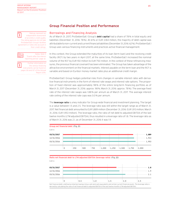

**is a** Ratings represent an **independent** assessment of an entity's credit quality. The rating agencies do not take ProSiebenSat.1 Group's facilities agreement or notes into account in their credit ratings.



Report 2016.

# **Group Financial Position and Performance**

### Borrowings and Financing Analysis

As of March 31, 2017, ProSiebenSat.1 Group's debt capital had a share of 78% in total equity and liabilities (December 31, 2016: 78%). At 61% or EUR 3,184 million, the majority of debt capital was attributable to non-current and current financial liabilities (December 31, 2016: 62%). ProSiebenSat.1 Group uses various financing instruments and practices active financial management.

In this context, the Group extended the maturities of its loan (term loan) and the revolving credit facility (RCF) by two years in April 2017; at the same time, ProSiebenSat.1 increased the nominal volume of the RCF by EUR 150 million to EUR 750 million. In the context of these refinancing measures, the previous financial covenant has been eliminated. The Group has taken advantage of the attractive environment on the financial markets. Interest payable on the term loan and the RCF is variable and based on Euribor money market rates plus an additional credit margin.

ProSiebenSat.1 Group hedges potential risks from changes in variable interest rates with derivative financial instruments in the form of interest rate swaps and interest rate options. The proportion of fixed interest was approximately 98% of the entire long-term financing portfolio as of March 31, 2017 (December 31, 2016: approx. 98%; March 31, 2016: approx. 78%). The average fixed rate of the interest rate swaps was 1.88% per annum as of March 31, 2017. The average interest rate ceiling of the interest rate caps was 0.0% per annum.

The leverage ratio is a key indicator for Group-wide financial and investment planning. The target is a value between 1.5 and 2.5. The leverage ratio was still within the target range as of March 31, 2017. Net financial debt amounted to EUR 1,889 million (December 31, 2016: EUR 1,913 million; March 31, 2016: EUR 1,953 million). The leverage ratio, the ratio of net debt to adjusted EBITDA of the last twelve months (LTM adjusted EBITDA), thus resulted in a leverage ratio of 1.8. The leverage ratio as of March 31, 2016 was 2.1, as of December 31, 2016 it was 1.9.

#### **Group net financial debt** (Fig. 21) EUR m

|            | $\frac{1}{2}$ 0 | 250 | 500 | 750 | $1,000$ 1,250 | $1,500$ 1,750 | 2,000     |  |
|------------|-----------------|-----|-----|-----|---------------|---------------|-----------|--|
|            |                 |     |     |     |               |               |           |  |
| 03/31/2016 |                 |     |     |     |               |               | $-$ 0.053 |  |
| 12/31/2016 |                 |     |     |     |               |               | $-$ 1,913 |  |
|            |                 |     |     |     |               |               |           |  |
| 03/31/2017 |                 |     |     |     |               |               | 1,889     |  |

#### **Ratio net financial debt to LTM adjusted EBITDA (leverage ratio)** (Fig. 22)

EUR m

| 03/31/2016 |  |  |  |
|------------|--|--|--|
| 12/31/2016 |  |  |  |
| 03/31/2017 |  |  |  |

Net financial debt is defined as total borrowings minus cash and cash equivalents and certain current financial assets. The leverage ratio is derived by calculating the ratio of net financial debt to adjusted EBITDA of the last twelve months (LTM adjusted EBITDA).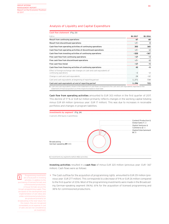# Analysis of Liquidity and Capital Expenditure

| Cash flow statement (Fig. 23)                                                                    |         |         |
|--------------------------------------------------------------------------------------------------|---------|---------|
| FUR <sub>m</sub>                                                                                 | 01 2017 | 01 2016 |
| Result from continuing operations                                                                | 67      | 68      |
| Result from discontinued operations                                                              | $-/-$   | 0       |
| Cash flow from operating activities of continuing operations                                     | 303     | 365     |
| Cash flow from operating activities of discontinued operations                                   | $-/-$   | -2      |
| Cash flow from investing activities of continuing operations                                     | $-320$  | $-367$  |
| Free cash flow from continuing operations                                                        | $-17$   | -3      |
| Free cash flow from discontinued operations                                                      | $-/-$   | -2      |
| Free cash flow (total)                                                                           | $-17$   | -5      |
| Cash flow from financing activities of continuing operations                                     | 43      |         |
| Effect of foreign exchange rate changes on cash and cash equivalents of<br>continuing operations |         |         |
| Change in cash and cash equivalents                                                              | 24      | $-12$   |
| Cash and cash equivalents at beginning of reporting period                                       | 1,271   | 734     |
| Cash and cash equivalents at end of reporting period                                             | 1,296   | 723     |

**1** Cash and cash equivalents shown in the statement of cash flows correspond to the cash and cash equivalents reported on the statement of financial position as of the respective balance sheet date.

Cash flow from operating activities amounted to EUR 303 million in the first quarter of 2017. This decline of 17 % or EUR 62 million primarily reflects changes in the working capital totaling minus EUR 69 million (previous year: EUR 17 million). This was due to increases in receivable portfolios and changes in program liabilities.



Investing activities resulted in a cash flow of minus EUR 320 million (previous year: EUR -367 million). Cash flows were as follows:



Programming investments are a focal point in investing activities. In addition to the purchasing of licensed formats and commissioned productions, in-house formats secure the Group's programming supply. They are based on the development and implementation of own ideas and, unlike commissioned productions, are produced primarily for broadcasting in the near future. For this reason, they are recognized immediately as an expense in cost of sales and are not considered as an investment.

> The Cash outflow for the acquisition of programming rights amounted to EUR 251 million (previous year: EUR 277 million). This corresponds to a decrease of 9% or EUR 26 million compared to the first quarter of 2016. Most of the programming investments were made in the Broadcasting German-speaking segment (96%); 61% for the acquisition of licensed programming and 38% for commissioned productions.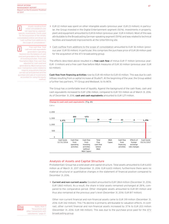

Assets resulting from initial consolidations are not reported as segmentspecific investments. Funds used for the acquisition of the initially consolidated entities are shown as "cash outflow from additions to the scope of consolidation."

Free cash flow: Total



cash and cash equivalents generated in operating business less the balance of cash used and generated in the context of investing activities. Free cash flow before M&A: Free cash flow adjusted for cash used and generated by M&A transactions (excl. transaction costs) related to majority acquisitions that are carried out and planned and the purchase and sale of investments accounted for using the equity method.

- > EUR 22 million was spent on other intangible assets (previous year: EUR 23 million); in particular, the Group invested in the Digital Entertainment segment (50%). Investments in property, plant and equipment amounted to EUR 8 million (previous year: EUR 4 million). Most of this was attributable to the Broadcasting German-speaking segment (59%) and was related to technical facilities and leasehold improvements at the Unterföhring site.
- > Cash outflow from additions to the scope of consolidation amounted to EUR 36 million (previous year: EUR 55 million). In particular, this comprises the purchase price of EUR 28 million paid for the acquisition of the ATV broadcasting group.

The effects described above resulted in a free cash flow of minus EUR 17 million (previous year: EUR –3 million) and a free cash flow before M&A measures of EUR 30 million (previous year: EUR 63 million).

Cash flow from financing activities rose by EUR 48 million to EUR 43 million. This was due to cash inflows resulting from a capital increase at Studio71. At the beginning of the year, the Group added a further two partners, TF1 Group and Mediaset, to its MCN.

The Group has a comfortable level of liquidity. Against the background of the cash flows, cash and cash equivalents increased to EUR 1,296 million, compared to EUR 723 million as of March 31, 2016. As of December 31, 2016, cash and cash equivalents amounted to EUR 1,271 million.



### Analysis of Assets and Capital Structure

ProSiebenSat.1 Group has a solid asset and capital structure. Total assets amounted to EUR 6,650 million as of March 31, 2017 (December 31, 2016: EUR 6,603 million); furthermore there were no material structural or quantitative changes in the statement of financial position compared to December 31, 2016.

> Current and non-current assets: Goodwill amounted to EUR 1,864 million (December 31, 2016: EUR 1,860 million). As a result, the share in total assets remained unchanged at 28 %, compared to the comparative period. Other intangible assets amounted to EUR 811 million and thus also remained at the previous year's level (December 31, 2016: EUR 817 million).

Other non-current financial and non-financial assets came to EUR 319 million (December 31, 2016: EUR 342 million). This 7 % decline is primarily attributable to valuation effects. In contrast, other current financial and non-financial assets increased by 37 % to EUR 203 million (December 31, 2016: EUR 148 million). This was due to the purchase price paid for the ATV broadcasting group.



Notes, Note 3 "Acquisitions and other transactions with subsidiaries," page 27.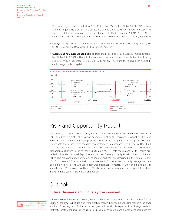Programming assets amounted to EUR 1,294 million (December 31, 2016: EUR 1,312 million). Along with goodwill, programming assets are among the Group's most important assets; its share of total assets remained almost unchanged at 19% (December 31, 2016: 20%). At the same time, cash and cash equivalents increased by 2% or EUR 24 million to EUR 1,296 million.

- > Equity: The equity ratio remained stable at 22% (December 31, 2016: 22%). Equity grew by 3% to EUR 1,469 million (December 31, 2016: EUR 1,432 million).
- > Current and non-current liabilities: Liabilities and provisions totaled EUR 5,181 million (December 31, 2016: EUR 5,172 million), including non-current and current financial liabilities totaling EUR 3,184 million (December 31, 2016: EUR 3,185 million). Therefore, there have been no significant changes in debt capital.



# Risk- and Opportunity Report

We estimate that there are currently no risks that, individually or in combination with other risks, could have a material or lasting adverse effect on the earnings, financial position and performance. The identified risks pose no threat to the Company as a going concern, even looking into the future. As of the date this Statement was prepared, the Executive Board still considers the overall risk situation as limited and manageable for this reason. There were no fundamental changes in the overall risk situation. We still rate the majority of the issues presented in the latest Annual Report as a slight risk. The opportunity situation has not changed either. The risks and opportunities identified as significant are described in the Annual Report 2016 from page 148. The organizational requirements for risk and opportunity management are also explained here. The Annual Report was published on March 16, 2017 and is available at: annual-report2016.prosiebensat1.com. We also refer to the remarks on the predictive statements in this Quarterly Statement on page 20.

# Outlook

# **Future Business and Industry Environment**



In the course of the year 2017 so far, the institutes expect the upward trend to continue for the German economy — albeit at a slower momentum than in the previous year. One reason is the lower number of working days, furthermore no significant impetus is expected from foreign trade. In contrast, construction investment as well as private consumption and government spendings are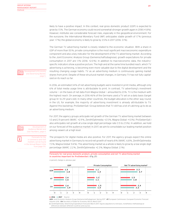likely to have a positive impact. In this context, real gross domestic product (GDP) is expected to grow by 1.5%. The German economy could record somewhat stronger growth again in 2018 (+1.8%). However, institutes see considerable forecast risks, especially in the geopolitical environment. For the eurozone, the International Monetary Fund (IMF) anticipates stable growth of 1.7% (previous year: 1.7%); the global economy is likely to grow by 3.5% in 2017 (2016: 3.1%).

The German TV advertising market is closely related to the economic situation. With a share in GDP of more than 50%, private consumption is the most significant macroeconomic expenditure component and also a key indicator for the development of the TV advertising market. According to the Joint Economic Analysis Group (Gemeinschaftsdiagnose), growth expectations for private consumption in 2017 are 1.1% (2016: +2.0%). In addition to macroeconomic data, the industryspecific indicators show a positive picture. The high and at the same time bundled reach, which TV advertising is achieving, is becoming even more valuable due to the digital development and the resulting changing usage habits. TV as an advertising medium is continuously gaining market shares from print. Despite of these structural market changes, in Germany TV has not fully capitalized on its reach so far.

In 2016, an estimated 34% of net advertising budgets were invested in print media, although only 6% of total media usage time is attributable to print. In contrast, TV advertising's investment volume — on the basis of net data from Magna Global — amounted to 23%. TV is the medium with the highest reach. On average, in 2016 46% of the Germans used a TV set on a daily basis (target group 14- to 29-years-old). In many other countries, the budget allocation is the other way round; in the US, for example, the majority of advertising investment is already attributable to TV. Against this backdrop, ProSiebenSat.1 Group believes that TV still has a lot of catching up to do as an advertising medium.

For 2017, the agency groups anticipate net growth of the German TV advertising market between 1.0 and 2.9 percent (WARC: +2.9%, ZenithOptimedia: +2.5%, Magna Global: +1.0%). ProSiebenSat.1 also anticipates net growth at a low single-digit percentage rate (1.5 to 2.5%). In addition, we hold on our forecast of the audience market: In 2017, we aim to consolidate our leading market position among viewers at a high level.

The prospects for digital media are also positive. For 2017, the agency groups expect the online advertising market in Germany to record net growth of nearly 8% (WARC: 6.8%, ZenithOptimedia: 7.3%, Magna Global: 9.4%). The advertising market as a whole is likely to grow by a low single-digit percentage (WARC: 2.2%, ZenithOptimedia: +2.3%, Magna Global: 2.1%).

**Forecasts for real gross domestic product, private consumption and net TV advertising market in countries important for ProSiebenSat.1** (Fig. 27)



in percent, change vs. previous year

**2016 2017** 

GER: Joint Economic Analysis Group (Gemeinschaftsdiagnose), Spring 2017. AT: European Commission, European Economic Forecast Autumn 2016. CH: Secretary of State for Economy (SECO), March 2017

**1** ZenithOptimedia, Advertising Expenditure Forecasts March 2017, figures adjusted on a net basis, nonetheless methodological differences between different countries and sources.



Development of Audience Market and User Numbers, page 4.

Forecasts for the e-commerce and VoD markets can be found in the Annual Report 2016 from page 170.

n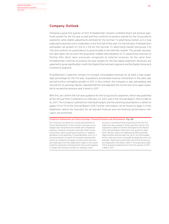# **Company Outlook**

Following a good first quarter of 2017, ProSiebenSat.1 remains confident that it will achieve significant growth for the full year as well and thus confirms its positive outlook for the Group and its segments, while slightly adjusting its estimate for the German TV advertising market, as it is now expected to develop more moderately in the first half of the year. For the full year, ProSiebenSat.1 anticipates net growth of 1.5% to 2.5% for the German TV advertising market (previously 2 to 3%) and confirms its expectations to grow broadly in line with the market. This growth assumption also takes into account the acquisition related internalization of TV advertising revenues of Parship Elite which were previously recognized as external revenues. At the same time, ProSiebenSat.1 confirms its positive full-year targets for the two digital segments: Revenues are expected to grow significantly in both the Digital Entertainment segment and the Digital Ventures & Commerce segment.

ProSiebenSat.1's objective remains to increase consolidated revenues by at least a high singledigit percentage for the full year. Acquisitions accelerated revenue momentum in the past year and will further strengthen growth in 2017. In this context, the Company is also anticipating new records for its earnings figures: Adjusted EBITDA and adjusted net income are once again expected to exceed the previous year's levels in 2017.

With this, we confirm the full-year guidance for the Group and its segments, which was published at the Annual Press Conference on February 23, 2017, and in the Annual Report 2016 on March 16, 2017. The Company outlined the individual targets and the planning assumptions in detail on pages 172 to 175 of the Annual Report 2016. Further information can be found on page 3 of this Statement, where the forecasts for all relevant financial and non-financial performance indicators are presented.

#### **Predictive Statements on Future Earnings, Financial Position and Performance** (Fig. 28)

Our forecasts are based on current assessments of future developments. In this context, we draw on our budget and comprehensive market and competitive analyses. However, forecasts naturally entail certain insecurities, which could lead to positive or negative deviations from planning. If imponderables occur or if the assumptions on which the forward-looking statements are made do not apply, actual results may deviate materially from the statements made or the results implicitly expressed. Developments that could negatively impact this forecast include, for example, lower

economic momentum than expected at the time the statement was prepared. These and other factors are explained in detail in the Risk and Opportunity Report of the Annual Report 2016 and in this quarterly statement. We also report on additional growth potential. Opportunities that we have not yet or not fully budgeted for could arise from corporate strategy decisions, for example. Significant events after the end of the period are explained in the Notes, Note 9. The publication date of the Quarterly Statement for the first quarter of 2017 is May 11, 2017.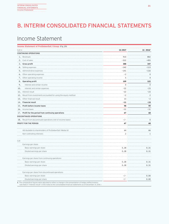# B. INTERIM CONSOLIDATED FINANCIAL STATEMENTS

# Income Statement

| Income Statement of ProSiebenSat.1 Group (Fig. 29)                |             |                      |
|-------------------------------------------------------------------|-------------|----------------------|
| EUR m                                                             | Q1 2017     | Q1 2016 <sup>1</sup> |
| CONTINUING OPERATIONS                                             |             |                      |
| 1. Revenues                                                       | 910         | 802                  |
| 2. Cost of sales                                                  | $-522$      | $-455$               |
| 3. Gross profit                                                   | 388         | 347                  |
| 4. Selling expenses                                               | $-142$      | $-113$               |
| 5. Administrative expenses                                        | $-141$      | -116                 |
| 6. Other operating expenses                                       | $-2$        | $\mathsf{O}\xspace$  |
| 7. Other operating income                                         | 5           | $\overline{4}$       |
| 8. Operating profit                                               | 109         | 122                  |
| 9.<br>Interest and similar income                                 | $\mathbf 0$ | $\mathbf 0$          |
| 10.<br>Interest and similar expenses                              | $-22$       | $-23$                |
| 11. Interest result                                               | $-22$       | $-23$                |
| 12. Result from investments accounted for using the equity method | $-2$        | $\overline{c}$       |
| 13. Other financial result                                        | 13          | $-2$                 |
| 14. Financial result                                              | -11         | -24                  |
| 15. Profit before income taxes                                    | 98          | 99                   |
| 16. Income taxes                                                  | $-31$       | $-31$                |
| 17. Profit for the period from continuing operations              | 67          | 68                   |
| DISCONTINUED OPERATIONS                                           |             |                      |
| 18. Result from discontinued operations (net of income taxes)     | $-/-$       | $\mathbf 0$          |
| PROFIT FOR THE PERIOD                                             | 67          | 68                   |
|                                                                   |             |                      |
| Attributable to shareholders of ProSiebenSat.1 Media SE           | 64          | 66                   |
| Non-controlling interests                                         | 2           | $\mathbf{1}$         |
|                                                                   |             |                      |
| <b>EUR</b>                                                        |             |                      |
| Earnings per share                                                |             |                      |
| Basic earnings per share                                          | 0.28        | 0.31                 |
| Diluted earnings per share                                        | 0.28        | 0.31                 |
|                                                                   |             |                      |
| Earnings per share from continuing operations                     |             |                      |
| Basic earnings per share                                          | 0.28        | 0.31                 |
| Diluted earnings per share                                        | 0.28        | 0.31                 |
|                                                                   |             |                      |
| Earnings per share from discontinued operations                   |             |                      |
| Basic earnings per share                                          | $-/-$       | 0.00                 |
| Diluted earnings per share                                        | -/-         | 0.00                 |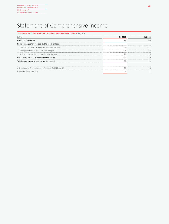# Statement of Comprehensive Income

| Statement of Comprehensive Income of ProSiebenSat.1 Group (Fig. 30) |         |      |
|---------------------------------------------------------------------|---------|------|
| FUR <sub>m</sub>                                                    | 01 2017 | 2016 |
| Profit for the period                                               | 67      | 68   |
| Items subsequently reclassified to profit or loss                   |         |      |
| Change in foreign currency translation adjustment                   |         |      |
| Changes in fair value of cash flow hedges                           |         |      |
| Deferred tax on other comprehensive income                          |         |      |
| Other comprehensive income for the period                           |         |      |
| Total comprehensive income for the period                           |         |      |
|                                                                     |         |      |
| Attributable to Shareholders of ProSiebenSat.1 Media SE             |         |      |
| Non-controlling interests                                           |         |      |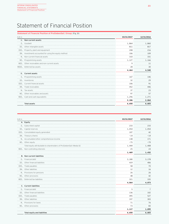# Statement of Financial Position

| 03/31/2017<br>EUR <sub>m</sub><br>A. Non-current assets<br>I. Goodwill<br>1,864<br>II. Other intangible assets<br>811<br>III. Property, plant and equipment<br>208<br>IV. Investments accounted for using the equity method<br>106<br>V. Non-current financial assets<br>310<br>VI. Programming assets<br>1,127<br>VII. Other receivables and non-current assets<br>q<br>VIII. Deferred tax assets<br>28<br>4,464<br><b>B.</b> Current assets<br>I. Programming assets<br>167<br>II. Inventories<br>32<br>III. Current financial assets<br>106<br>IV. Trade receivables<br>452<br>37<br>V. Tax assets<br>VI. Other receivables and assets<br>97<br>VII. Cash and cash equivalents<br>1,296<br>2,186<br>6,650<br>Total assets | Statement of Financial Position of ProSiebenSat.1 Group (Fig. 31) |            |
|------------------------------------------------------------------------------------------------------------------------------------------------------------------------------------------------------------------------------------------------------------------------------------------------------------------------------------------------------------------------------------------------------------------------------------------------------------------------------------------------------------------------------------------------------------------------------------------------------------------------------------------------------------------------------------------------------------------------------|-------------------------------------------------------------------|------------|
|                                                                                                                                                                                                                                                                                                                                                                                                                                                                                                                                                                                                                                                                                                                              |                                                                   | 12/31/2016 |
|                                                                                                                                                                                                                                                                                                                                                                                                                                                                                                                                                                                                                                                                                                                              |                                                                   |            |
|                                                                                                                                                                                                                                                                                                                                                                                                                                                                                                                                                                                                                                                                                                                              |                                                                   | 1,860      |
|                                                                                                                                                                                                                                                                                                                                                                                                                                                                                                                                                                                                                                                                                                                              |                                                                   | 817        |
|                                                                                                                                                                                                                                                                                                                                                                                                                                                                                                                                                                                                                                                                                                                              |                                                                   | 216        |
|                                                                                                                                                                                                                                                                                                                                                                                                                                                                                                                                                                                                                                                                                                                              |                                                                   | 109        |
|                                                                                                                                                                                                                                                                                                                                                                                                                                                                                                                                                                                                                                                                                                                              |                                                                   | 331        |
|                                                                                                                                                                                                                                                                                                                                                                                                                                                                                                                                                                                                                                                                                                                              |                                                                   | 1,166      |
|                                                                                                                                                                                                                                                                                                                                                                                                                                                                                                                                                                                                                                                                                                                              |                                                                   | 11         |
|                                                                                                                                                                                                                                                                                                                                                                                                                                                                                                                                                                                                                                                                                                                              |                                                                   | 30         |
|                                                                                                                                                                                                                                                                                                                                                                                                                                                                                                                                                                                                                                                                                                                              |                                                                   | 4,540      |
|                                                                                                                                                                                                                                                                                                                                                                                                                                                                                                                                                                                                                                                                                                                              |                                                                   |            |
|                                                                                                                                                                                                                                                                                                                                                                                                                                                                                                                                                                                                                                                                                                                              |                                                                   | 146        |
|                                                                                                                                                                                                                                                                                                                                                                                                                                                                                                                                                                                                                                                                                                                              |                                                                   | 29         |
|                                                                                                                                                                                                                                                                                                                                                                                                                                                                                                                                                                                                                                                                                                                              |                                                                   | 91         |
|                                                                                                                                                                                                                                                                                                                                                                                                                                                                                                                                                                                                                                                                                                                              |                                                                   | 446        |
|                                                                                                                                                                                                                                                                                                                                                                                                                                                                                                                                                                                                                                                                                                                              |                                                                   | 23         |
|                                                                                                                                                                                                                                                                                                                                                                                                                                                                                                                                                                                                                                                                                                                              |                                                                   | 57         |
|                                                                                                                                                                                                                                                                                                                                                                                                                                                                                                                                                                                                                                                                                                                              |                                                                   | 1,271      |
|                                                                                                                                                                                                                                                                                                                                                                                                                                                                                                                                                                                                                                                                                                                              |                                                                   | 2,064      |
|                                                                                                                                                                                                                                                                                                                                                                                                                                                                                                                                                                                                                                                                                                                              |                                                                   | 6,603      |

| EUR m |                                                                      | 03/31/2017 | 12/31/2016              |
|-------|----------------------------------------------------------------------|------------|-------------------------|
|       | A. Equity                                                            |            |                         |
|       | I. Subscribed capital                                                | 233        | 233                     |
|       | II. Capital reserves                                                 | 1,054      | 1,054                   |
|       | III. Consolidated equity generated                                   | 107        | 42                      |
|       | IV. Treasury shares                                                  | $-14$      | $-14$                   |
|       | V. Accumulated other comprehensive income                            | 138        | 171                     |
|       | VI. Other equity                                                     | $-75$      | $-79$                   |
|       | Total equity attributable to shareholders of ProSiebenSat.1 Media SE | 1,444      | 1,408                   |
|       | VII. Non-controlling interests                                       | 25         | 24                      |
|       |                                                                      | 1,469      | 1,432                   |
|       | <b>B.</b> Non-current liabilities                                    |            |                         |
|       | I. Financial debt                                                    | 3,180      | 3,178                   |
|       | II. Other financial liabilities                                      | 419        | 406                     |
|       | III. Trade payables                                                  | 58         | 70                      |
|       | IV. Other liabilities                                                | 12         | <b>COLLA</b><br>16      |
|       | V. Provisions for pensions                                           | 26         | <b>COLLA</b><br>26<br>. |
|       | VI. Other provisions                                                 | 48         | 42                      |
|       | VII. Deferred tax liabilities                                        | 321        | 335                     |
|       |                                                                      | 4,064      | 4,073                   |
|       | C. Current liabilities                                               |            |                         |
|       | I. Financial debt                                                    | 5          | 7                       |
|       | II. Other financial liabilities                                      | 136        | 102                     |
|       | III. Trade payables                                                  | 495        | 527                     |
|       | IV. Other liabilities                                                | 337        | 303                     |
|       | V. Provisions for taxes                                              | 71         | 76<br>                  |
|       | VI. Other provisions                                                 | 73         | 83                      |
|       |                                                                      | 1,117      | 1,099                   |
|       | Total equity and liabilities                                         | 6,650      | 6,603                   |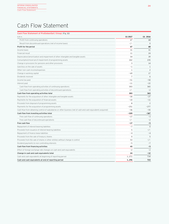# Cash Flow Statement

# **Cash Flow Statement of ProSiebenSat.1 Group** (Fig. 32)

| EUR m                                                                                                          | Q1 2017 | Q1 2016      |
|----------------------------------------------------------------------------------------------------------------|---------|--------------|
| Profit from continuing operations                                                                              | 67      | 68           |
| Result from discontinued operations (net of income taxes)                                                      | $-/-$   | $\mathbf 0$  |
| Profit for the period                                                                                          | 67      | 68           |
| Income taxes                                                                                                   | 31      | 31           |
| Financial result                                                                                               | 11      | 24           |
| Depreciation/amortization and impairment of other intangible and tangible assets                               | 54      | 39           |
| Consumption/reversal of impairment of programming assets                                                       | 262     | 235          |
| Change in provisions for pensions and other provisions                                                         | 3       | 14           |
| Gain/loss on the sale of assets                                                                                | $-1$    | $\mathbf{1}$ |
| Other non-cash income/expenses                                                                                 | 1       | 2            |
| Change in working capital                                                                                      | - 69    | 17           |
| Dividends received                                                                                             | 7       | 6            |
| Income tax paid                                                                                                | -51     | $-50$        |
| Interest paid                                                                                                  | $-11$   | $-22$        |
| Cash flow from operating activities of continuing operations                                                   | 303     | 365          |
| Cash flow from operating activities of discontinued operations                                                 | $-/-$   | $-2$         |
| Cash flow from operating activities total                                                                      | 303     | 363          |
| Payments for the acquisition of other intangible and tangible assets                                           | $-30$   | $-27$        |
| Payments for the acquisition of financial assets                                                               | $-10$   | $-11$        |
| Proceeds from disposal of programming assets                                                                   | 8       | 2            |
| Payments for the acquisition of programming assets                                                             | $-251$  | $-277$       |
| Cash flow from obtaining control of subsidiaries or other business (net of cash and cash equivalents acquired) | $-36$   | $-55$        |
| Cash flow from investing activities total                                                                      | -320    | -367         |
| Free cash flow of continuing operations                                                                        | $-17$   | $-3$         |
| Free cash flow of discontinued operations                                                                      | -/-     | $-2$         |
| Free cash flow                                                                                                 | -17     | $-5$         |
| Repayment of interest-bearing liabilities                                                                      | $-7$    | $\Omega$     |
| Proceeds from issuance of interest-bearing liabilities                                                         | 5       | -/-          |
| Repayment of finance lease liabilities                                                                         | $-4$    | $-4$         |
| Proceeds from the sale of treasury shares                                                                      | 0       | 5            |
| Proceeds from the sale of shares in other entities without change in control                                   | 53      | $-/-$        |
| Dividend payments to non-controlling interests                                                                 | $-5$    | $-7$         |
| Cash flow from financing activities                                                                            | 43      | - 5          |
| Effect of foreign exchange rate changes on cash and cash equivalents                                           | $-2$    | $-2$         |
| Change in cash and cash equivalents total                                                                      | 24      | $-12$        |
| Cash and cash equivalents at beginning of reporting period                                                     | 1,271   | 734          |
| Cash and cash equivalents at end of reporting period                                                           | 1,296   | 723          |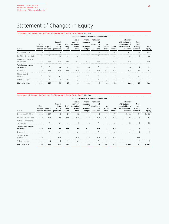# Statement of Changes in Equity

### **Statement of Changes in Equity of ProSiebenSat.1 Group for Q1 2016** (Fig. 33)

|                                 |                            |                     |                                          |                          |                                                       | Accumulated other comprehensive income             |                                                  |                        |                 |                                                                                  |                                       |                 |
|---------------------------------|----------------------------|---------------------|------------------------------------------|--------------------------|-------------------------------------------------------|----------------------------------------------------|--------------------------------------------------|------------------------|-----------------|----------------------------------------------------------------------------------|---------------------------------------|-----------------|
| EUR m                           | Sub-<br>scribed<br>capital | Capital<br>reserves | Consoli-<br>dated<br>equity<br>generated | Trea-<br>sury<br>shares  | Foreign<br>currency<br>translation<br>adjust-<br>ment | Fair value<br>changes<br>0f<br>cash flow<br>hedges | Valuation<br>οf<br>provisions<br>for<br>pensions | De-<br>ferred<br>taxes | Other<br>equity | Total equity<br>attributable to<br>shareholders of<br>ProSiebenSat.1<br>Media SE | Non-<br>con-<br>trolling<br>interests | Total<br>equity |
| December 31, 2015               | 219                        | 600                 | 26                                       | $-20$                    | 22                                                    | 185                                                | - 8                                              | $-50$                  | $-54$           | 922                                                                              | 21                                    | 943             |
| Profit for the period           | $-/-$                      | $-1-$               | 66                                       | $-/-$                    | $-1-$                                                 | $-/-$                                              | $-/-$                                            | $-/-$                  | $-/-$           | 66                                                                               |                                       | 68              |
| Other comprehensi-<br>ve income | $-1-$                      | $-1-$               |                                          |                          |                                                       | $-53$                                              | $-1-$                                            | 1.5                    | $-/-$           | $-49$                                                                            | U                                     | $-49$           |
| Total comprehensi-<br>ve income | $-1-$                      | $-1-$               | 66                                       | $-1-$                    | $-11$                                                 | - 53                                               | -7-                                              | 15                     | $-1-$           | 18                                                                               |                                       | 19              |
| <b>Dividends</b>                |                            | $-1-$               |                                          | $\overline{\phantom{0}}$ |                                                       |                                                    |                                                  | $-1-$                  | $-1-$           | $-1-$                                                                            | - 7                                   |                 |
| Share-based<br>payments         |                            | $-58$               |                                          | 5                        |                                                       |                                                    | ' –                                              |                        |                 | - 53                                                                             |                                       | -53             |
| Other changes                   |                            | $-1-$               |                                          | $-1-$                    | $-$                                                   | - / -                                              | $-/-$                                            | $-1-$                  | $-3$            | $-3$                                                                             |                                       |                 |
| March 31, 2016                  | 219                        | 542                 | 93                                       | -15                      | 11                                                    | 132                                                | -8                                               | -35                    | - 56            | 884                                                                              | 19                                    | 903             |

### **Statement of Changes in Equity of ProSiebenSat.1 Group for Q1 2017** (Fig. 34)

|                                 |                            |                     |                                          |                         |                                                       |                                                    | Accumulated other comprehensive income           |                        |                 |                                                                                  |                                       |                 |
|---------------------------------|----------------------------|---------------------|------------------------------------------|-------------------------|-------------------------------------------------------|----------------------------------------------------|--------------------------------------------------|------------------------|-----------------|----------------------------------------------------------------------------------|---------------------------------------|-----------------|
| EUR m                           | Sub-<br>scribed<br>capital | Capital<br>reserves | Consoli-<br>dated<br>equity<br>generated | Trea-<br>sury<br>shares | Foreign<br>currency<br>translation<br>adjust-<br>ment | Fair value<br>changes<br>0f<br>cash flow<br>hedges | Valuation<br>οt<br>provisions<br>for<br>pensions | De-<br>ferred<br>taxes | Other<br>equity | Total equity<br>attributable to<br>shareholders of<br>ProSiebenSat.1<br>Media SE | Non-<br>con-<br>trolling<br>interests | Total<br>equity |
| December 31, 2016               | 233                        | 1,054               | 42                                       | $-14$                   | 18                                                    | 221                                                | $-9$                                             | $-59$                  | $-79$           | 1,408                                                                            | 24                                    | 1,432           |
| Profit for the period           | $-1-$                      |                     | 64                                       | $-/-$                   |                                                       |                                                    | $-/-$                                            | - / -                  |                 | 64                                                                               |                                       | 67              |
| Other comprehensi-<br>ve income | $-1-$                      |                     |                                          |                         |                                                       | -38                                                |                                                  | 11                     | $-/-$           | $-33$                                                                            | $\Omega$                              | $-33$           |
| Total comprehensi-<br>ve income |                            |                     | 64                                       |                         |                                                       | -38                                                | $-/-$                                            | 11                     | $-1-$           | 31                                                                               | 2                                     | 33              |
| Dividends                       |                            |                     |                                          |                         |                                                       |                                                    |                                                  |                        |                 |                                                                                  |                                       |                 |
| Share-based<br>payments         |                            | $\Omega$            |                                          | $\Omega$                |                                                       |                                                    |                                                  |                        |                 |                                                                                  |                                       |                 |
| Other changes                   | $-1-$                      |                     | 0                                        | $-1-$                   |                                                       |                                                    | $-1-$                                            | - / -                  |                 |                                                                                  |                                       |                 |
| March 31, 2017                  | 233                        | 1,054               | 107                                      | $-14$                   | 13                                                    | 183                                                | - 9                                              | - 49                   | $-75$           | 1,444                                                                            | 25                                    | 1.469           |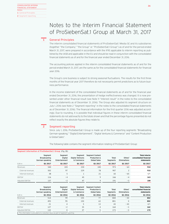# Notes to the Interim Financial Statement of ProSiebenSat.1 Group at March 31, 2017

# **1**

# General Principles

The interim consolidated financial statements of ProSiebenSat.1 Media SE and its subsidiaries (together "the Company," "the Group" or "ProSiebenSat.1 Group") as of and for the period ended March 31, 2017, were prepared in accordance with the IFRS applicable to interim reporting as published by the IASB and applicable in the EU and should be read in conjunction with the consolidated financial statements as of and for the financial year ended December 31, 2016.

The accounting policies applied in the interim consolidated financial statements as of and for the period ended March 31, 2017, are the same as for the consolidated financial statements for financial year 2016.

The Group's core business is subject to strong seasonal fluctuations. The results for the first three months of the financial year 2017 therefore do not necessarily permit predictions as to future business performance.

In the income statement of the consolidated financial statements as of and for the financial year ended December 31, 2016, the presentation of hedge ineffectiveness was changed. It is now presented under other financial result (see Note 11 "Interest result" in the notes to the consolidated financial statements as of December 31, 2016). The Group also adjusted its segment structure on July 1, 2016 (see Note 2 "Segment reporting" in the notes to the consolidated financial statements as of December 31, 2016). The financial information for the first quarter 2016 was adjusted accordingly. Due to rounding, it is possible that individual figures in these interim consolidated financial statements do not add exactly to the totals shown and that the percentage figures presented do not reflect exactly the absolute figures they relate to.

# **2**

# Segment reporting

Since July 1, 2016, ProSiebenSat.1 Group is made up of the four reporting segments "Broadcasting German-speaking," "Digital Entertainment", "Digital Ventures & Commerce" and "Content Production & Global Sales".

The following table contains the segment information relating of ProSiebenSat.1 Group:

### **Segment information of ProSiebenSat 1 Group** (Fig. 35)

|                   | Segment<br>Bro<br>adcasting | Segment<br>tal Ventures | <b>Segment Content</b><br>Production & | Total | ther | Total interim<br>consolidated financial |
|-------------------|-----------------------------|-------------------------|----------------------------------------|-------|------|-----------------------------------------|
| EUR m             | -2017                       | 2017                    | 2017                                   | 2017  |      |                                         |
| <b>Revenues</b>   |                             | 230                     | 100                                    |       |      |                                         |
| External revenues | 50 <sub>6</sub>             |                         |                                        |       |      |                                         |
| Internal revenues |                             |                         |                                        |       |      |                                         |
|                   |                             |                         |                                        | 16F   |      |                                         |
|                   |                             |                         |                                        |       |      |                                         |

|                   | Bro<br>adcasting                                                                           | Fnte<br>tainment | Ventures<br>Commerce | Segment Content<br><b>Production &amp;</b> | Total | Dther/ | consolidated financia |
|-------------------|--------------------------------------------------------------------------------------------|------------------|----------------------|--------------------------------------------|-------|--------|-----------------------|
| EUR m             | 2016                                                                                       | 2016             | 2016                 | 2016                                       | 2016  |        | 2016                  |
| Revenues          |                                                                                            |                  | ็⊏ุเ                 |                                            | 844   |        | 802                   |
| External revenues |                                                                                            |                  | 1 5 (                |                                            | 80    |        | 80.                   |
| Internal revenues |                                                                                            |                  |                      |                                            |       |        |                       |
| + BP              |                                                                                            |                  |                      |                                            |       |        | 162                   |
|                   |                                                                                            |                  |                      |                                            |       |        | 170                   |
|                   | $\mathbf 1$ This information is provided on a voluntary basis as part of segment reporting |                  |                      |                                            |       |        |                       |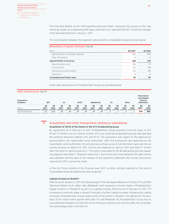The Executive Board, as the chief operating decision-maker, measures the success of the segments by means of a segment profit figure referred to as "adjusted EBITDA" in internal management and reporting since January 1, 2017.

The reconciliation between the segment values and the consolidated values is shown below:

| Reconciliation of segment information (Fig. 36) |         |  |  |  |  |  |  |
|-------------------------------------------------|---------|--|--|--|--|--|--|
| FUR <sub>m</sub>                                | 01 2017 |  |  |  |  |  |  |
| Adjusted EBITDA of reportable segments          |         |  |  |  |  |  |  |
| Other / Eliminations                            |         |  |  |  |  |  |  |
| Adjusted EBITDA of the Group                    |         |  |  |  |  |  |  |
| Reconciling Items (net)                         |         |  |  |  |  |  |  |
| Financial result                                |         |  |  |  |  |  |  |
| Depreciation and amortization                   |         |  |  |  |  |  |  |
| Impairment                                      |         |  |  |  |  |  |  |
| Consolidated profit before taxes                |         |  |  |  |  |  |  |

Entity-wide disclosures for ProSiebenSat.1 Group are provided below:

| <b>Entity-wide disclosures</b> (Fig. 37)<br>breakdown | GEF        |                   | US         |            | AT/CH      |            |                   | sivanihas         | UK         |            | Other             |            | Total interim<br>consolidated<br>financial<br>statements |            |
|-------------------------------------------------------|------------|-------------------|------------|------------|------------|------------|-------------------|-------------------|------------|------------|-------------------|------------|----------------------------------------------------------|------------|
| EUR m                                                 | Q1<br>2017 | <b>Q1</b><br>2016 | Q1<br>2017 | Q1<br>2016 | Q1<br>2017 | Q1<br>2016 | <b>Q1</b><br>2017 | <b>Q1</b><br>2016 | Q1<br>2017 | Q1<br>2016 | <b>Q1</b><br>2017 | Q1<br>2016 | <b>Q1</b><br>2017                                        | Q1<br>2016 |
| <b>External Revenues</b>                              |            | 631               | 82         | 66         | 59         | 56         | 46                | 40                |            |            |                   |            | 910                                                      | 802        |

**3**

# Acquisitions and other transactions relating to subsidiaries

### Acquisition of 100% of the shares in the ATV broadcasting group

By agreement as of February 6, 2017, ProSiebenSat.1 Group acquired a 100.0% share in ATV Privat TV GmbH & Co KG, Vienna, Austria. ATV is an Austrian broadcasting group and operates the Austrian television stations ATV and ATV2. The acquisition was subject to the approval of, among others, the responsible cartel authorities. After the transaction was approved by the responsible cartel authorities, the provisional purchase price of EUR 28 million was paid into an escrow account on March 29, 2017. Control was obtained on April 6, 2017 (see Note 9 "Events after the interim reporting period"). The entity is allocated to the Broadcasting German-speaking segment (see Note 2 "Segment reporting"). Due to the short time between the date control was obtained and the date of the release of the quarterly statement, the further disclosures required by IFRS 3 cannot be made.

In the first three months of the financial year 2017, no other entities material for the interim consolidated financial statements were acquired.

#### Capital increase at Studio71

Effective as of January 11, 2017, the media groups TF1 SA, Boulogne-Billancourt, France (TF1), and Reti Televisive Italiane S.p.A., Milan, Italy (Mediaset), each acquired a minority stake in ProSiebenSat.1 Digital Content LP (Studio71) as part of a capital increase. Effective as of February 17, 2017, TF1 increased its minority stake in Studio71 through a further capital increase. Following the capital increases, ProSiebenSat.1 Group retains 69 % of the shares in Studio71. Put options for the buyback of the shares were agreed with both TF1 and Mediaset. As ProSiebenSat.1 Group has an unconditional obligation to meet the terms of the put options as of exercise date, the consolidation percentage used is still 100.0 %.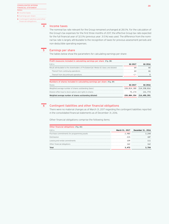| <b>CONSOLIDATED INTERIM</b><br><b>FINANCIAL STATEMENT</b>   |
|-------------------------------------------------------------|
|                                                             |
| acome taxes                                                 |
| 5 Earnings per share                                        |
| 6 Contingent liabilities and other<br>financial obligations |

### Income taxes

The nominal tax rate relevant for the Group remained unchanged at 28.0%. For the calculation of the Group's tax expenses for the first three months of 2017, the effective Group tax rate expected for the full financial year of 32.0% (previous year: 31.5%) was used. The difference from the nominal tax rate is largely attributable to the recognition of taxes for previous assessment periods and non-deductible operating expenses.



**4**

## Earnings per share

The tables below show the parameters for calculating earnings per share:

| Profit measures included in calculating earnings per share (Fig. 38)                   |         |                         |
|----------------------------------------------------------------------------------------|---------|-------------------------|
| FUR <sub>m</sub>                                                                       | 01 2017 | 01 2016                 |
| Result attributable to the shareholders of ProSiebenSat.1 Media SE (basic and diluted) | 64      |                         |
| Thereof from continuing operations                                                     | 64      | 66                      |
| Thereof from discontinued operations                                                   |         |                         |
|                                                                                        |         |                         |
| Numbers of shares included in calculating earnings per share (Fig. 39)<br>Shares       | 01 2017 | 01 2016                 |
| Weighted average number of shares outstanding (basic)                                  |         | 228,814,180 214,358,816 |
| Dilution effect due to stock options and rights to shares                              | 70.174  | 131,774                 |

#### Contingent liabilities and other financial obligations **6**

There were no material changes as of March 31, 2017 regarding the contingent liabilities reported in the consolidated financial statements as of December 31, 2016.

Other financial obligations comprise the following items:

| <b>Other financial obligations</b> (Fig. 40) |       |                                  |
|----------------------------------------------|-------|----------------------------------|
| FUR <sub>m</sub>                             |       | March 31, 2017 December 31, 2016 |
| Purchase commitments for programming assets  | 2.985 |                                  |
| Distribution                                 |       |                                  |
| Leasing and rental commitments               | 1 በ ዓ |                                  |
| Other financial obligations                  | 162   |                                  |
|                                              |       |                                  |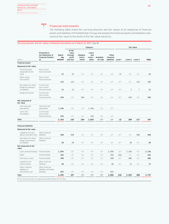Financial instruments **7**

> The following table shows the carrying amounts and fair values of all categories of financial assets and liabilities of ProSiebenSat.1 Group and assigns the financial assets and liabilities measured at fair value to the levels of the fair-value hierarchy.

### **Carrying amounts and fair values of financial instruments as of March 31, 2017** (Fig. 41)

|                                                                      |                                                                     |                         |                                                   |                             | Category                         |                        |                                   |         |                | <b>Fair Value</b> |              |
|----------------------------------------------------------------------|---------------------------------------------------------------------|-------------------------|---------------------------------------------------|-----------------------------|----------------------------------|------------------------|-----------------------------------|---------|----------------|-------------------|--------------|
| EUR m                                                                | Presented in<br>the Statement of<br><b>Financial Position</b><br>as | Carry-<br>ing<br>amount | At fair<br>value<br>through<br>profit<br>and loss | Hedging<br>instru-<br>ments | Loans<br>and<br>receiv-<br>ables | Available-<br>for-sale | Other<br>financial<br>liabilities | Level 1 |                | Level 2 Level 3   | <b>Total</b> |
| <b>Financial assets</b>                                              |                                                                     |                         |                                                   |                             |                                  |                        |                                   |         |                |                   |              |
| Measured at fair value                                               |                                                                     |                         |                                                   |                             |                                  |                        |                                   |         |                |                   |              |
| Financial assets<br>designated at fair<br>value                      | Non-current<br>financial assets                                     | 22                      | 22                                                | $-/-$                       | $-/-$                            | $-/-$                  | $-/-$                             | 22      | $-/-$          | $-/-$             | 22           |
| Other equity<br>instruments                                          | Non-current<br>financial assets                                     | 110                     | 110                                               | $-/-$                       | $-/-$                            | $-/-$                  | $-/-$                             | $-/-$   | $-/-$          | 110               | 110          |
| Derivatives for which<br>hedge accounting is<br>not applied          | Current and<br>non-current<br>financial assets                      | 12                      | 12                                                | $-/-$                       | $-/-$                            | $-/-$                  | $-/-$                             | $-/-$   | 5              | $\overline{7}$    | 12           |
| Hedge derivatives                                                    | Current and<br>non-current<br>financial assets                      | 204                     | $-/-$                                             | 204                         | $-/-$                            | $-/-$                  | $-/-$                             | $-/-$   | 204            | $-/-$             | 204          |
| Not measured at<br>fair value                                        |                                                                     |                         |                                                   |                             |                                  |                        |                                   |         |                |                   |              |
| Cash and cash<br>equivalents <sup>1</sup>                            | Cash and cash<br>equivalents                                        | 1,296                   | -/-                                               | $-/-$                       | 1,296                            | $-/-$                  | $-/-$                             |         |                |                   |              |
| Loans and<br>receivables <sup>1</sup>                                | Current and<br>non-current<br>financial assets                      | 520                     | -/-                                               | $-/-$                       | 520                              | -/-                    | $-/-$                             |         |                |                   |              |
| Total                                                                |                                                                     | 2,163                   | 143                                               | 204                         | 1,815                            | -/-                    | -/-                               | 22      | 209            | 117               | 347          |
| <b>Financial liabilities</b>                                         |                                                                     |                         |                                                   |                             |                                  |                        |                                   |         |                |                   |              |
| Measured at fair value                                               |                                                                     |                         |                                                   |                             |                                  |                        |                                   |         |                |                   |              |
| Liabilities from put<br>options and earn-outs                        | Other financial<br>liabilities                                      | 408                     | 408                                               | $-/-$                       | $-/-$                            | $-/-$                  | $-/-$                             | $-/-$   | $-/-$          | 408               | 408          |
| Derivatives for which<br>hedge accounting is<br>not applied          | Other financial<br>liabilities                                      | 28                      | 28                                                | $-/-$                       | $-/-$                            | $-/-$                  | $-/-$                             | $-/-$   | 28             | -/-               | 28           |
| Not measured at fair<br>value                                        |                                                                     |                         |                                                   |                             |                                  |                        |                                   |         |                |                   |              |
| Loans and borrowings                                                 | Financial Debt                                                      | 2,090                   | $-/-$                                             | $-/-$                       | -/-                              | -/-                    | 2,090                             | $-/-$   |                | -/-               | 2,106        |
| Notes                                                                | Financial Debt                                                      | 596                     | -/-                                               | $-/-$                       | $-/-$                            | $-/-$                  | 596                               | 636     | 2,106<br>$-/-$ | -/-               | 636          |
| Promissory notes                                                     | Financial Debt                                                      | 498                     | -/-                                               | $-/-$                       | $-/-$                            | $-/-$                  | 498                               | $-/-$   | 486            | -/-               | 486          |
| Liabilities from                                                     | Other financial                                                     |                         |                                                   |                             |                                  |                        |                                   |         |                |                   |              |
| finance leases                                                       | liabilities                                                         | 68                      | -/-                                               | $-/-$                       | $-/-$                            | $-/-$                  | 68                                | $-/-$   | 72             | $-/-$             | 72           |
| Other Financial<br>liabilities at<br>(amortised) cost <sup>1</sup>   | Other financial<br>liabilities and trade<br>payables                | 603                     | -/-                                               | $-/-$                       | $-/-$                            | $-/-$                  | 603                               |         |                |                   |              |
| Total                                                                |                                                                     | 4,292                   | 437                                               | -/-                         | -/-                              | -/-                    | 3,856                             | 636     | 2,693          | 408               | 3,737        |
| 1 The carrying amount is an appropriate approximator for fair value. |                                                                     |                         |                                                   |                             |                                  |                        |                                   |         |                |                   |              |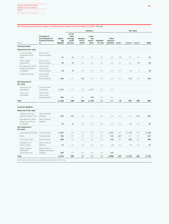### **Carrying amounts and fair values of financial instruments as of December 31, 2016** (Fig. 42)

|                                                                      |                                                                     |                         |                                                   |                             | Category                         |                        |                                   |         |       | <b>Fair Value</b> |              |
|----------------------------------------------------------------------|---------------------------------------------------------------------|-------------------------|---------------------------------------------------|-----------------------------|----------------------------------|------------------------|-----------------------------------|---------|-------|-------------------|--------------|
| EUR m                                                                | Presented in<br>the Statement of<br><b>Financial Position</b><br>as | Carry-<br>ing<br>amount | At fair<br>value<br>through<br>profit<br>and loss | Hedging<br>instru-<br>ments | Loans<br>and<br>receiv-<br>ables | Available-<br>for-sale | Other<br>financial<br>liabilities | Level 1 |       | Level 2 Level 3   | <b>Total</b> |
| <b>Financial assets</b>                                              |                                                                     |                         |                                                   |                             |                                  |                        |                                   |         |       |                   |              |
| Measured at fair value                                               |                                                                     |                         |                                                   |                             |                                  |                        |                                   |         |       |                   |              |
| Financial assets<br>designated at fair<br>value                      | Non-current<br>financial assets                                     | 21                      | 21                                                | $-/-$                       | $-/-$                            | $-/-$                  | $-/-$                             | 21      | $-/-$ | $-/-$             | 21           |
| Other equity<br>instruments                                          | Non-current<br>financial assets                                     | 99                      | 99                                                | $-/-$                       | $-/-$                            | $-/-$                  | $-/-$                             | $-/-$   | $-/-$ | 99                | 99           |
| Derivatives for which<br>hedge accounting is<br>not applied          | Current and<br>non-current<br>financial assets                      | 18                      | 18                                                | $-/-$                       | $-/-$                            | $-/-$                  | $-/-$                             | $-/-$   | 11    | $\overline{7}$    | 18           |
| Hedge derivatives                                                    | Current and<br>non-current<br>financial assets                      | 246                     | $-/-$                                             | 246                         | $-/-$                            | $-/-$                  | $-/-$                             | $-/-$   | 246   | $-/-$             | 246          |
| Not measured at<br>fair value                                        |                                                                     |                         |                                                   |                             |                                  |                        |                                   |         |       |                   |              |
| Cash and cash<br>equivalents <sup>1</sup>                            | Cash and cash<br>equivalents                                        | 1,271                   | $-/-$                                             | $-/-$                       | 1,271                            | $-/-$                  | $-/-$                             |         |       |                   |              |
| Loans and<br>receivables <sup>1</sup>                                | Current and<br>non-current<br>financial assets                      | 484                     | $-/-$                                             | $-/-$                       | 484                              | $-/-$                  | $-/-$                             |         |       |                   |              |
| Total                                                                |                                                                     | 2,140                   | 138                                               | 246                         | 1,755                            | -/-                    | -/-                               | 21      | 257   | 106               | 384          |
| <b>Financial liabilities</b>                                         |                                                                     |                         |                                                   |                             |                                  |                        |                                   |         |       |                   |              |
| Measured at fair value                                               |                                                                     |                         |                                                   |                             |                                  |                        |                                   |         |       |                   |              |
| Liabilities from put<br>options and earn-outs                        | Other financial<br>liabilities                                      | 363                     | 363                                               | $-/-$                       | $-/-$                            | $-/-$                  | $-/-$                             | $-/-$   | $-/-$ | 363               | 363          |
| Derivatives for which<br>hedge accounting is<br>not applied          | Other financial<br>liabilities                                      | 32                      | 32                                                | $-/-$                       | $-/-$                            | $-/-$                  | $-/-$                             | $-/-$   | 32    | $-/-$             | 32           |
| Not measured at                                                      |                                                                     |                         |                                                   |                             |                                  |                        |                                   |         |       |                   |              |
| fair value                                                           |                                                                     |                         |                                                   |                             |                                  |                        |                                   |         |       |                   |              |
| Loans and borrowings                                                 | <b>Financial Debt</b>                                               | 2,091                   | $-/-$                                             | $-/-$                       | $-/-$                            | $-/-$                  | 2,091                             | $-/-$   | 2,118 | $-/-$             | 2,118        |
| Notes                                                                | Financial Debt                                                      | 596                     | $-/-$                                             | $-/-$                       | $-/-$                            | $-/-$                  | 596                               | 637     | $-/-$ | $-/-$             | 637          |
| Promissory notes                                                     | Financial Debt                                                      | 498                     | $-/-$                                             | $-/-$                       | $-/-$                            | $-/-$                  | 498                               | $-/-$   | 488   | $-/-$             | 488          |
| Liabilities from<br>finance leases                                   | Other financial<br>liabilities                                      | 72                      | $-/-$                                             | $-/-$                       | $-/-$                            | $-/-$                  | 72                                | $-/-$   | 77    | $-/-$             | 77           |
| Other financial<br>liabilities at<br>(amortised) cost <sup>1</sup>   | Other financial<br>liabilities and trade<br>payables                | 640                     | $-/-$                                             | $-/-$                       | $-/-$                            | $-/-$                  | 640                               |         |       |                   |              |
| Total                                                                |                                                                     | 4,291                   | 395                                               | -/-                         | $-/-$                            | -/-                    | 3,896                             | 637     | 2,715 | 363               | 3,715        |
| 1 The carrying amount is an appropriate approximator for fair value. |                                                                     |                         |                                                   |                             |                                  |                        |                                   |         |       |                   |              |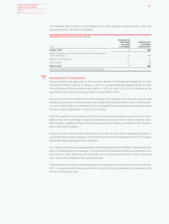The following table shows the reconciliation of the items regularly measured at fair value and assigned to Level 3 as of the closing date:

| FUR <sub>m</sub>                                                                                           | Derivatives for<br>which hedge<br>accounting<br>is not applied | Liabilities from<br>put options<br>and earn-outs |
|------------------------------------------------------------------------------------------------------------|----------------------------------------------------------------|--------------------------------------------------|
| January 1, 2017                                                                                            |                                                                |                                                  |
| Results included in income statement as well as in other comprehensive<br>income (unrealized) <sup>1</sup> |                                                                |                                                  |
| Additions from acquisitions                                                                                |                                                                |                                                  |
| Other changes                                                                                              | ----------------------------------                             |                                                  |
| March 31, 2017                                                                                             |                                                                |                                                  |

**8**

### Related party transactions

Sabine Eckhardt was appointed to the Executive Board of ProSiebenSat.1 Media SE as Chief Commercial Officer (CCO) as of January 1, 2017. Dr. Gunnar Wiedenfels stepped down from the Executive Board of his own volition as of March 31, 2017. On June 1, 2017, Dr. Jan Kemper will be appointed to the Executive Board as Chief Financial Officer (CFO).

During the first three months of the financial year 2017, revenues from the sale of goods and rendering of services from transactions with related entities amounted to EUR 31 million (previous year: EUR 28 million). As of March 31, 2017, receivables from the respective entities amounted to EUR 26 million (December 31, 2016: EUR 23 million).

In the first quarter of the financial year 2017, the Group received goods and services from its related parties and accordingly recognized expenses amounting to EUR 6 million (previous year: EUR 6 million). Liabilities to these entities amounted to EUR 7 million as of March 31, 2017 (December 31, 2016: EUR 10 million).

In the first three months of the financial year 2017, the members of the Supervisory Board acquired 586 shares of the Company. In the first three months of the financial year 2017, Dr. Gunnar Wiedenfels sold 5,000 shares of the Company.

In connection with the general agreement with Heilpflanzenwohl AG, Pfäffikon, Switzerland (see Note 32 "Related party transactions" in the notes to the consolidated financial statements as of December 31, 2016), advertising services with a gross media volume of EUR 3 million (previous year: none) were rendered in the reporting period.

There have been no other material changes or transactions in the first quarter of financial year 2017 in comparison with those described in the notes to the consolidated financial statements for the financial year 2016.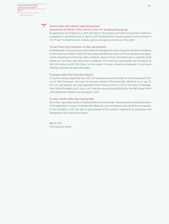**9**

# Events after the interim reporting period

### Acquisition of 100% of the shares in the ATV broadcasting group

By agreement as of February 6, 2017 (see Note 3 "Acquisitions and other transactions relating to subsidiaries") and effective as of April 6, 2017, ProSiebenSat.1 Group acquired a 100.0% share in ATV Privat TV GmbH & Co KG, Vienna, Austria, and gained control over this entity.

### Group financing: Extension of loan agreements

ProSiebenSat.1 Group practices active financial management and is using the attractive conditions on the financial markets. In April 2017 the Group extended the maturity of its syndicated loan agreements consisting of a term loan with a nominal volume of EUR 2.100 billion and a revolving credit facililty by two years until April 2022. In addition, the revolving credit facililty was increased by EUR 150 million to EUR 750 million. In the context of these refinancing measures, the previous financial covenant has been eliminated.

### Changes within the Executive Board

In its press release dated April 26, 2017, the Company announced that the Chief Investment Officer Dr. Ralf Schremper will leave the Executive Board of ProSiebenSat.1 Media SE as of July 31, 2017. Dr. Jan Kemper, who was appointed Chief Financial Officer (CFO) to the Board of Management of the Company as of June 1, 2017, will also assume responsibility for the M&A department of ProSiebenSat.1 Media SE as of August 1, 2017.

### Further events after the closing date

No further reportable events of material effect on the earnings, financial position and performance of ProSiebenSat.1 Group or ProSiebenSat.1 Media SE occurred between the end of the first quarter of 2017 and May 4, 2017, the date of authorization of this quarterly statement for publication and forwarding to the Supervisory Board.

May 4, 2017 The Executive Board